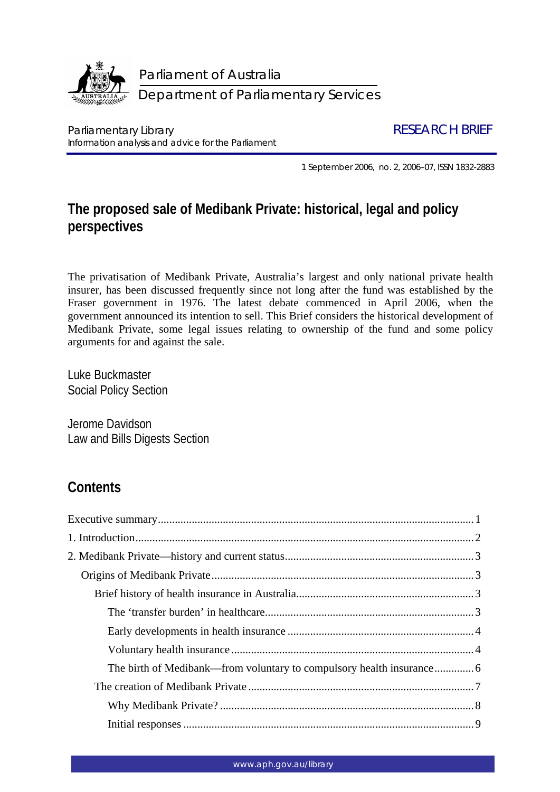

Parliamentary Library **RESEARCH BRIEF** Information analysis and advice for the Parliament

1 September 2006, no. 2, 2006–07, ISSN 1832-2883

# **The proposed sale of Medibank Private: historical, legal and policy perspectives**

The privatisation of Medibank Private, Australia's largest and only national private health insurer, has been discussed frequently since not long after the fund was established by the Fraser government in 1976. The latest debate commenced in April 2006, when the government announced its intention to sell. This Brief considers the historical development of Medibank Private, some legal issues relating to ownership of the fund and some policy arguments for and against the sale.

Luke Buckmaster Social Policy Section

Jerome Davidson Law and Bills Digests Section

# **Contents**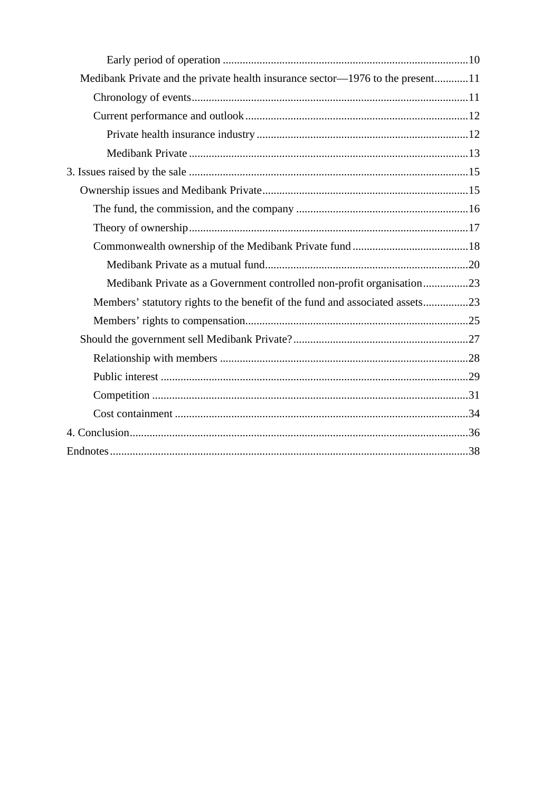| Medibank Private and the private health insurance sector-1976 to the present11 |  |
|--------------------------------------------------------------------------------|--|
|                                                                                |  |
|                                                                                |  |
|                                                                                |  |
|                                                                                |  |
|                                                                                |  |
|                                                                                |  |
|                                                                                |  |
|                                                                                |  |
|                                                                                |  |
|                                                                                |  |
| Medibank Private as a Government controlled non-profit organisation23          |  |
| Members' statutory rights to the benefit of the fund and associated assets23   |  |
|                                                                                |  |
|                                                                                |  |
|                                                                                |  |
|                                                                                |  |
|                                                                                |  |
|                                                                                |  |
|                                                                                |  |
|                                                                                |  |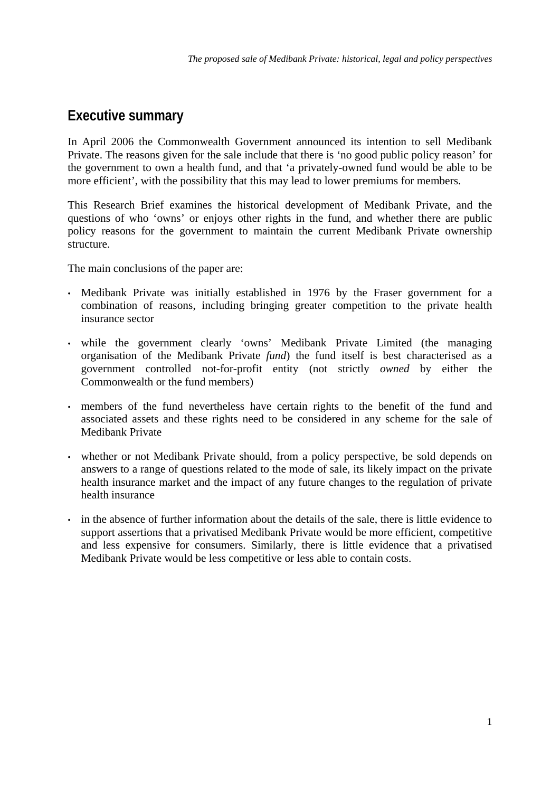## <span id="page-2-0"></span>**Executive summary**

In April 2006 the Commonwealth Government announced its intention to sell Medibank Private. The reasons given for the sale include that there is 'no good public policy reason' for the government to own a health fund, and that 'a privately-owned fund would be able to be more efficient', with the possibility that this may lead to lower premiums for members.

This Research Brief examines the historical development of Medibank Private, and the questions of who 'owns' or enjoys other rights in the fund, and whether there are public policy reasons for the government to maintain the current Medibank Private ownership structure.

The main conclusions of the paper are:

- Medibank Private was initially established in 1976 by the Fraser government for a combination of reasons, including bringing greater competition to the private health insurance sector
- while the government clearly 'owns' Medibank Private Limited (the managing organisation of the Medibank Private *fund*) the fund itself is best characterised as a government controlled not-for-profit entity (not strictly *owned* by either the Commonwealth or the fund members)
- members of the fund nevertheless have certain rights to the benefit of the fund and associated assets and these rights need to be considered in any scheme for the sale of Medibank Private
- whether or not Medibank Private should, from a policy perspective, be sold depends on answers to a range of questions related to the mode of sale, its likely impact on the private health insurance market and the impact of any future changes to the regulation of private health insurance
- in the absence of further information about the details of the sale, there is little evidence to support assertions that a privatised Medibank Private would be more efficient, competitive and less expensive for consumers. Similarly, there is little evidence that a privatised Medibank Private would be less competitive or less able to contain costs.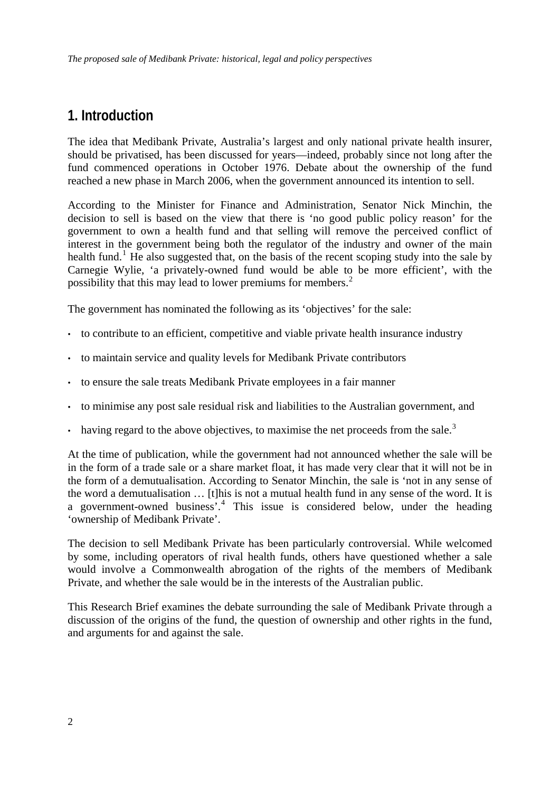# <span id="page-3-0"></span>**1. Introduction**

The idea that Medibank Private, Australia's largest and only national private health insurer, should be privatised, has been discussed for years—indeed, probably since not long after the fund commenced operations in October 1976. Debate about the ownership of the fund reached a new phase in March 2006, when the government announced its intention to sell.

According to the Minister for Finance and Administration, Senator Nick Minchin, the decision to sell is based on the view that there is 'no good public policy reason' for the government to own a health fund and that selling will remove the perceived conflict of interest in the government being both the regulator of the industry and owner of the main health fund.<sup>[1](#page-47-0)</sup> He also suggested that, on the basis of the recent scoping study into the sale by Carnegie Wylie, 'a privately-owned fund would be able to be more efficient', with the possibility that this may lead to lower premiums for members.<sup>[2](#page-47-1)</sup>

The government has nominated the following as its 'objectives' for the sale:

- to contribute to an efficient, competitive and viable private health insurance industry
- to maintain service and quality levels for Medibank Private contributors
- to ensure the sale treats Medibank Private employees in a fair manner
- to minimise any post sale residual risk and liabilities to the Australian government, and
- having regard to the above objectives, to maximise the net proceeds from the sale.<sup>[3](#page-47-1)</sup>

At the time of publication, while the government had not announced whether the sale will be in the form of a trade sale or a share market float, it has made very clear that it will not be in the form of a demutualisation. According to Senator Minchin, the sale is 'not in any sense of the word a demutualisation … [t]his is not a mutual health fund in any sense of the word. It is a government-owned business<sup>7</sup>.<sup>[4](#page-47-1)</sup> This issue is considered below, under the heading 'ownership of Medibank Private'.

The decision to sell Medibank Private has been particularly controversial. While welcomed by some, including operators of rival health funds, others have questioned whether a sale would involve a Commonwealth abrogation of the rights of the members of Medibank Private, and whether the sale would be in the interests of the Australian public.

This Research Brief examines the debate surrounding the sale of Medibank Private through a discussion of the origins of the fund, the question of ownership and other rights in the fund, and arguments for and against the sale.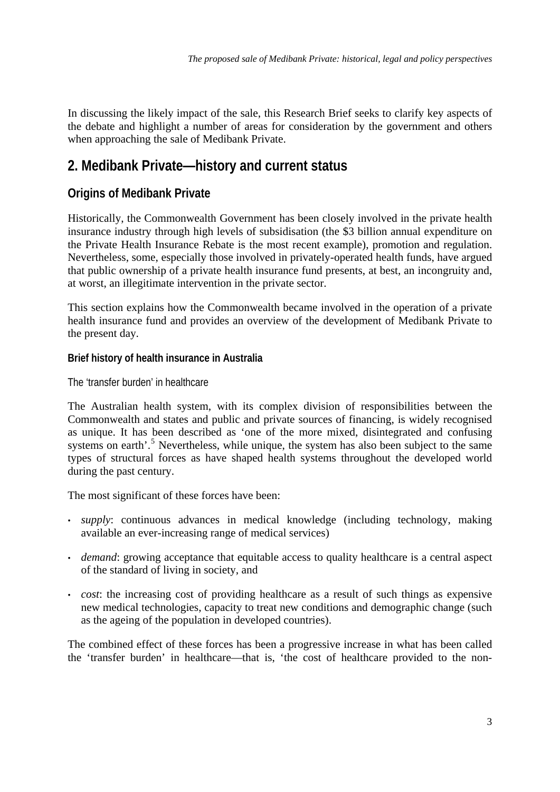<span id="page-4-0"></span>In discussing the likely impact of the sale, this Research Brief seeks to clarify key aspects of the debate and highlight a number of areas for consideration by the government and others when approaching the sale of Medibank Private.

# **2. Medibank Private—history and current status**

## **Origins of Medibank Private**

Historically, the Commonwealth Government has been closely involved in the private health insurance industry through high levels of subsidisation (the \$3 billion annual expenditure on the Private Health Insurance Rebate is the most recent example), promotion and regulation. Nevertheless, some, especially those involved in privately-operated health funds, have argued that public ownership of a private health insurance fund presents, at best, an incongruity and, at worst, an illegitimate intervention in the private sector.

This section explains how the Commonwealth became involved in the operation of a private health insurance fund and provides an overview of the development of Medibank Private to the present day.

## **Brief history of health insurance in Australia**

The 'transfer burden' in healthcare

The Australian health system, with its complex division of responsibilities between the Commonwealth and states and public and private sources of financing, is widely recognised as unique. It has been described as 'one of the more mixed, disintegrated and confusing systems on earth'.<sup>[5](#page-47-1)</sup> Nevertheless, while unique, the system has also been subject to the same types of structural forces as have shaped health systems throughout the developed world during the past century.

The most significant of these forces have been:

- *supply*: continuous advances in medical knowledge (including technology, making available an ever-increasing range of medical services)
- *demand*: growing acceptance that equitable access to quality healthcare is a central aspect of the standard of living in society, and
- *cost*: the increasing cost of providing healthcare as a result of such things as expensive new medical technologies, capacity to treat new conditions and demographic change (such as the ageing of the population in developed countries).

The combined effect of these forces has been a progressive increase in what has been called the 'transfer burden' in healthcare—that is, 'the cost of healthcare provided to the non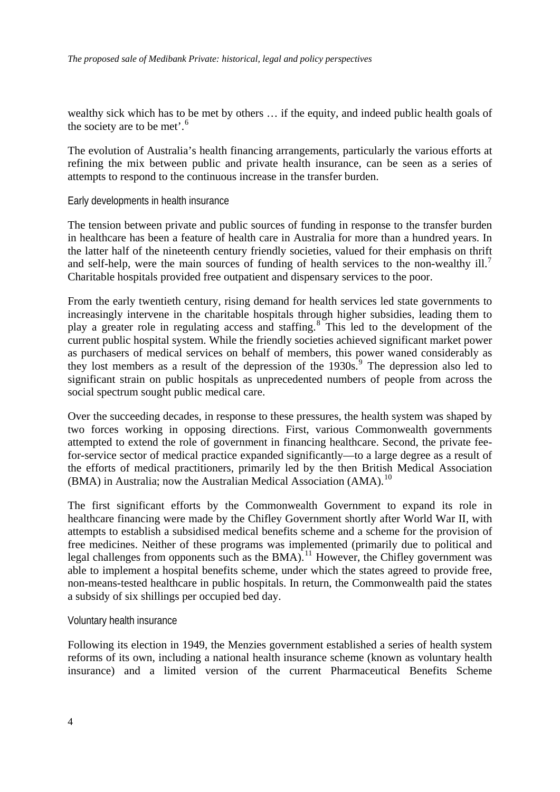<span id="page-5-0"></span>wealthy sick which has to be met by others … if the equity, and indeed public health goals of the society are to be met'.<sup>[6](#page-47-1)</sup>

The evolution of Australia's health financing arrangements, particularly the various efforts at refining the mix between public and private health insurance, can be seen as a series of attempts to respond to the continuous increase in the transfer burden.

Early developments in health insurance

The tension between private and public sources of funding in response to the transfer burden in healthcare has been a feature of health care in Australia for more than a hundred years. In the latter half of the nineteenth century friendly societies, valued for their emphasis on thrift and self-help, were the main sources of funding of health services to the non-wealthy ill.<sup>[7](#page-47-1)</sup> Charitable hospitals provided free outpatient and dispensary services to the poor.

From the early twentieth century, rising demand for health services led state governments to increasingly intervene in the charitable hospitals through higher subsidies, leading them to play a greater role in regulating access and staffing.<sup>[8](#page-47-1)</sup> This led to the development of the current public hospital system. While the friendly societies achieved significant market power as purchasers of medical services on behalf of members, this power waned considerably as they lost members as a result of the depression of the  $1930s$  $1930s$  $1930s$ .<sup>9</sup> The depression also led to significant strain on public hospitals as unprecedented numbers of people from across the social spectrum sought public medical care.

Over the succeeding decades, in response to these pressures, the health system was shaped by two forces working in opposing directions. First, various Commonwealth governments attempted to extend the role of government in financing healthcare. Second, the private feefor-service sector of medical practice expanded significantly—to a large degree as a result of the efforts of medical practitioners, primarily led by the then British Medical Association (BMA) in Australia; now the Australian Medical Association (AMA).<sup>[10](#page-47-1)</sup>

The first significant efforts by the Commonwealth Government to expand its role in healthcare financing were made by the Chifley Government shortly after World War II, with attempts to establish a subsidised medical benefits scheme and a scheme for the provision of free medicines. Neither of these programs was implemented (primarily due to political and legal challenges from opponents such as the BMA).<sup>[11](#page-47-1)</sup> However, the Chifley government was able to implement a hospital benefits scheme, under which the states agreed to provide free, non-means-tested healthcare in public hospitals. In return, the Commonwealth paid the states a subsidy of six shillings per occupied bed day.

Voluntary health insurance

Following its election in 1949, the Menzies government established a series of health system reforms of its own, including a national health insurance scheme (known as voluntary health insurance) and a limited version of the current Pharmaceutical Benefits Scheme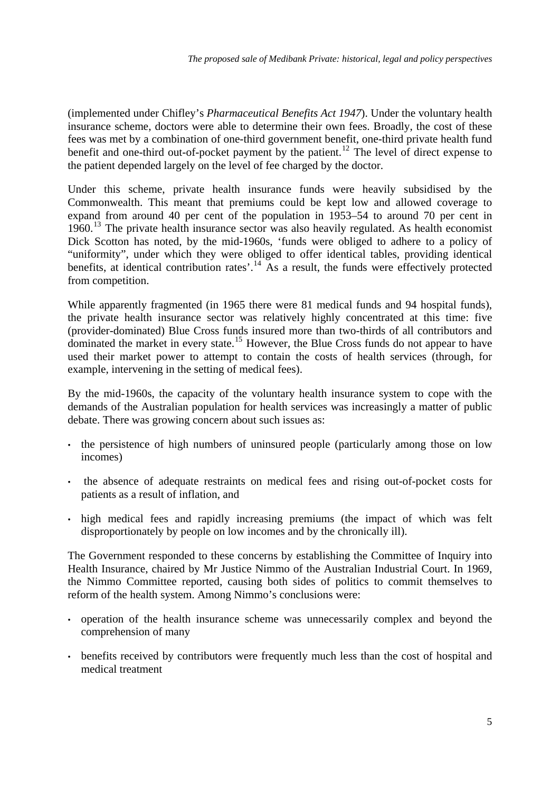(implemented under Chifley's *Pharmaceutical Benefits Act 1947*). Under the voluntary health insurance scheme, doctors were able to determine their own fees. Broadly, the cost of these fees was met by a combination of one-third government benefit, one-third private health fund benefit and one-third out-of-pocket payment by the patient.<sup>[12](#page-47-1)</sup> The level of direct expense to the patient depended largely on the level of fee charged by the doctor.

Under this scheme, private health insurance funds were heavily subsidised by the Commonwealth. This meant that premiums could be kept low and allowed coverage to expand from around 40 per cent of the population in 1953–54 to around 70 per cent in  $1960<sup>13</sup>$  $1960<sup>13</sup>$  $1960<sup>13</sup>$  The private health insurance sector was also heavily regulated. As health economist Dick Scotton has noted, by the mid-1960s, 'funds were obliged to adhere to a policy of "uniformity", under which they were obliged to offer identical tables, providing identical benefits, at identical contribution rates'.<sup>[14](#page-47-1)</sup> As a result, the funds were effectively protected from competition.

While apparently fragmented (in 1965 there were 81 medical funds and 94 hospital funds), the private health insurance sector was relatively highly concentrated at this time: five (provider-dominated) Blue Cross funds insured more than two-thirds of all contributors and dominated the market in every state.<sup>[15](#page-47-1)</sup> However, the Blue Cross funds do not appear to have used their market power to attempt to contain the costs of health services (through, for example, intervening in the setting of medical fees).

By the mid-1960s, the capacity of the voluntary health insurance system to cope with the demands of the Australian population for health services was increasingly a matter of public debate. There was growing concern about such issues as:

- the persistence of high numbers of uninsured people (particularly among those on low incomes)
- the absence of adequate restraints on medical fees and rising out-of-pocket costs for patients as a result of inflation, and
- high medical fees and rapidly increasing premiums (the impact of which was felt disproportionately by people on low incomes and by the chronically ill).

The Government responded to these concerns by establishing the Committee of Inquiry into Health Insurance, chaired by Mr Justice Nimmo of the Australian Industrial Court. In 1969, the Nimmo Committee reported, causing both sides of politics to commit themselves to reform of the health system. Among Nimmo's conclusions were:

- operation of the health insurance scheme was unnecessarily complex and beyond the comprehension of many
- benefits received by contributors were frequently much less than the cost of hospital and medical treatment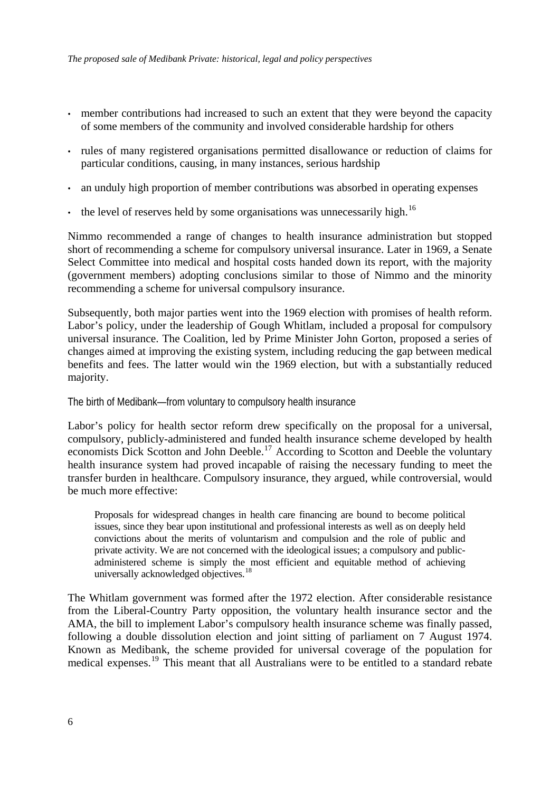- <span id="page-7-0"></span>member contributions had increased to such an extent that they were beyond the capacity of some members of the community and involved considerable hardship for others
- rules of many registered organisations permitted disallowance or reduction of claims for particular conditions, causing, in many instances, serious hardship
- an unduly high proportion of member contributions was absorbed in operating expenses
- the level of reserves held by some organisations was unnecessarily high.<sup>[16](#page-47-1)</sup>

Nimmo recommended a range of changes to health insurance administration but stopped short of recommending a scheme for compulsory universal insurance. Later in 1969, a Senate Select Committee into medical and hospital costs handed down its report, with the majority (government members) adopting conclusions similar to those of Nimmo and the minority recommending a scheme for universal compulsory insurance.

Subsequently, both major parties went into the 1969 election with promises of health reform. Labor's policy, under the leadership of Gough Whitlam, included a proposal for compulsory universal insurance. The Coalition, led by Prime Minister John Gorton, proposed a series of changes aimed at improving the existing system, including reducing the gap between medical benefits and fees. The latter would win the 1969 election, but with a substantially reduced majority.

#### The birth of Medibank—from voluntary to compulsory health insurance

Labor's policy for health sector reform drew specifically on the proposal for a universal, compulsory, publicly-administered and funded health insurance scheme developed by health economists Dick Scotton and John Deeble.<sup>[17](#page-47-1)</sup> According to Scotton and Deeble the voluntary health insurance system had proved incapable of raising the necessary funding to meet the transfer burden in healthcare. Compulsory insurance, they argued, while controversial, would be much more effective:

Proposals for widespread changes in health care financing are bound to become political issues, since they bear upon institutional and professional interests as well as on deeply held convictions about the merits of voluntarism and compulsion and the role of public and private activity. We are not concerned with the ideological issues; a compulsory and publicadministered scheme is simply the most efficient and equitable method of achieving universally acknowledged objectives.<sup>[18](#page-47-1)</sup>

The Whitlam government was formed after the 1972 election. After considerable resistance from the Liberal-Country Party opposition, the voluntary health insurance sector and the AMA, the bill to implement Labor's compulsory health insurance scheme was finally passed, following a double dissolution election and joint sitting of parliament on 7 August 1974. Known as Medibank, the scheme provided for universal coverage of the population for medical expenses.<sup>[19](#page-47-1)</sup> This meant that all Australians were to be entitled to a standard rebate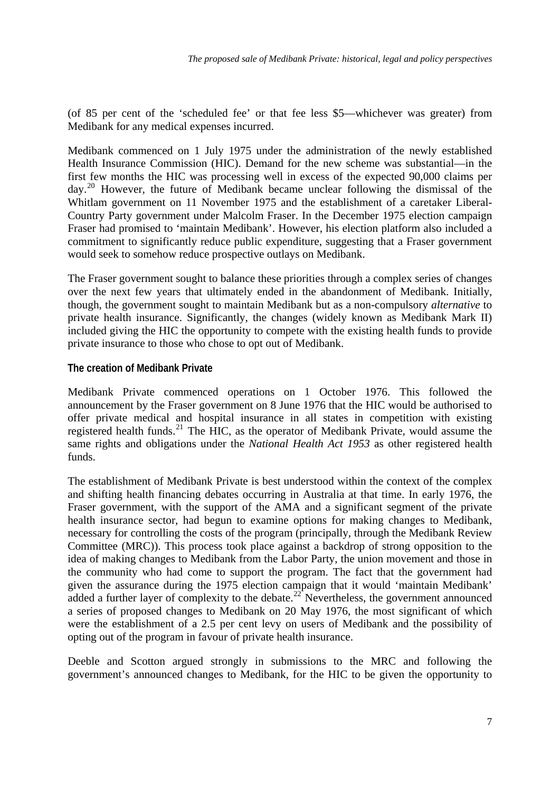<span id="page-8-0"></span>(of 85 per cent of the 'scheduled fee' or that fee less \$5—whichever was greater) from Medibank for any medical expenses incurred.

Medibank commenced on 1 July 1975 under the administration of the newly established Health Insurance Commission (HIC). Demand for the new scheme was substantial—in the first few months the HIC was processing well in excess of the expected 90,000 claims per  $day<sup>20</sup>$  $day<sup>20</sup>$  $day<sup>20</sup>$  However, the future of Medibank became unclear following the dismissal of the Whitlam government on 11 November 1975 and the establishment of a caretaker Liberal-Country Party government under Malcolm Fraser. In the December 1975 election campaign Fraser had promised to 'maintain Medibank'. However, his election platform also included a commitment to significantly reduce public expenditure, suggesting that a Fraser government would seek to somehow reduce prospective outlays on Medibank.

The Fraser government sought to balance these priorities through a complex series of changes over the next few years that ultimately ended in the abandonment of Medibank. Initially, though, the government sought to maintain Medibank but as a non-compulsory *alternative* to private health insurance. Significantly, the changes (widely known as Medibank Mark II) included giving the HIC the opportunity to compete with the existing health funds to provide private insurance to those who chose to opt out of Medibank.

### **The creation of Medibank Private**

Medibank Private commenced operations on 1 October 1976. This followed the announcement by the Fraser government on 8 June 1976 that the HIC would be authorised to offer private medical and hospital insurance in all states in competition with existing registered health funds.<sup>[21](#page-47-1)</sup> The HIC, as the operator of Medibank Private, would assume the same rights and obligations under the *National Health Act 1953* as other registered health funds.

The establishment of Medibank Private is best understood within the context of the complex and shifting health financing debates occurring in Australia at that time. In early 1976, the Fraser government, with the support of the AMA and a significant segment of the private health insurance sector, had begun to examine options for making changes to Medibank, necessary for controlling the costs of the program (principally, through the Medibank Review Committee (MRC)). This process took place against a backdrop of strong opposition to the idea of making changes to Medibank from the Labor Party, the union movement and those in the community who had come to support the program. The fact that the government had given the assurance during the 1975 election campaign that it would 'maintain Medibank' added a further layer of complexity to the debate.<sup>[22](#page-47-1)</sup> Nevertheless, the government announced a series of proposed changes to Medibank on 20 May 1976, the most significant of which were the establishment of a 2.5 per cent levy on users of Medibank and the possibility of opting out of the program in favour of private health insurance.

Deeble and Scotton argued strongly in submissions to the MRC and following the government's announced changes to Medibank, for the HIC to be given the opportunity to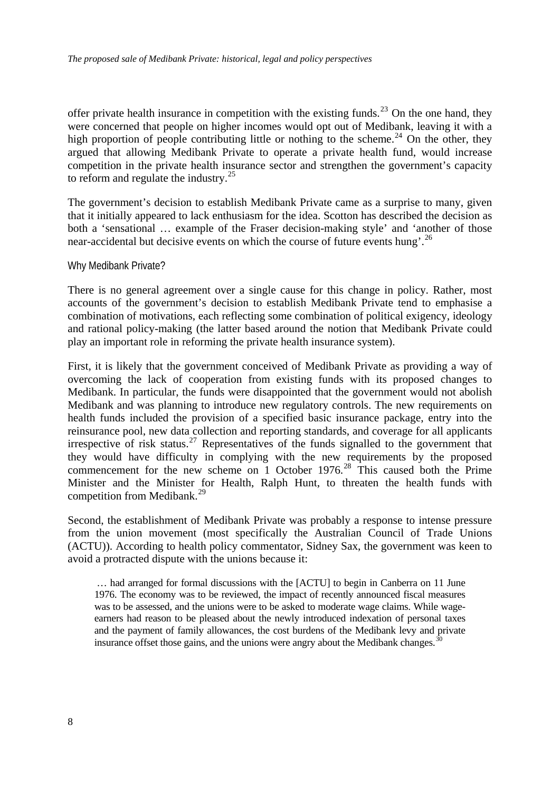<span id="page-9-0"></span>offer private health insurance in competition with the existing funds.<sup>[23](#page-47-1)</sup> On the one hand, they were concerned that people on higher incomes would opt out of Medibank, leaving it with a high proportion of people contributing little or nothing to the scheme.<sup>[24](#page-47-1)</sup> On the other, they argued that allowing Medibank Private to operate a private health fund, would increase competition in the private health insurance sector and strengthen the government's capacity to reform and regulate the industry. $^{25}$  $^{25}$  $^{25}$ 

The government's decision to establish Medibank Private came as a surprise to many, given that it initially appeared to lack enthusiasm for the idea. Scotton has described the decision as both a 'sensational … example of the Fraser decision-making style' and 'another of those near-accidental but decisive events on which the course of future events hung'.[26](#page-47-1)

#### Why Medibank Private?

There is no general agreement over a single cause for this change in policy. Rather, most accounts of the government's decision to establish Medibank Private tend to emphasise a combination of motivations, each reflecting some combination of political exigency, ideology and rational policy-making (the latter based around the notion that Medibank Private could play an important role in reforming the private health insurance system).

First, it is likely that the government conceived of Medibank Private as providing a way of overcoming the lack of cooperation from existing funds with its proposed changes to Medibank. In particular, the funds were disappointed that the government would not abolish Medibank and was planning to introduce new regulatory controls. The new requirements on health funds included the provision of a specified basic insurance package, entry into the reinsurance pool, new data collection and reporting standards, and coverage for all applicants irrespective of risk status.<sup>[27](#page-47-1)</sup> Representatives of the funds signalled to the government that they would have difficulty in complying with the new requirements by the proposed commencement for the new scheme on 1 October 1976.<sup>[28](#page-47-1)</sup> This caused both the Prime Minister and the Minister for Health, Ralph Hunt, to threaten the health funds with competition from Medibank.<sup>[29](#page-47-1)</sup>

Second, the establishment of Medibank Private was probably a response to intense pressure from the union movement (most specifically the Australian Council of Trade Unions (ACTU)). According to health policy commentator, Sidney Sax, the government was keen to avoid a protracted dispute with the unions because it:

 … had arranged for formal discussions with the [ACTU] to begin in Canberra on 11 June 1976. The economy was to be reviewed, the impact of recently announced fiscal measures was to be assessed, and the unions were to be asked to moderate wage claims. While wageearners had reason to be pleased about the newly introduced indexation of personal taxes and the payment of family allowances, the cost burdens of the Medibank levy and private insurance offset those gains, and the unions were angry about the Medibank changes.<sup>3</sup>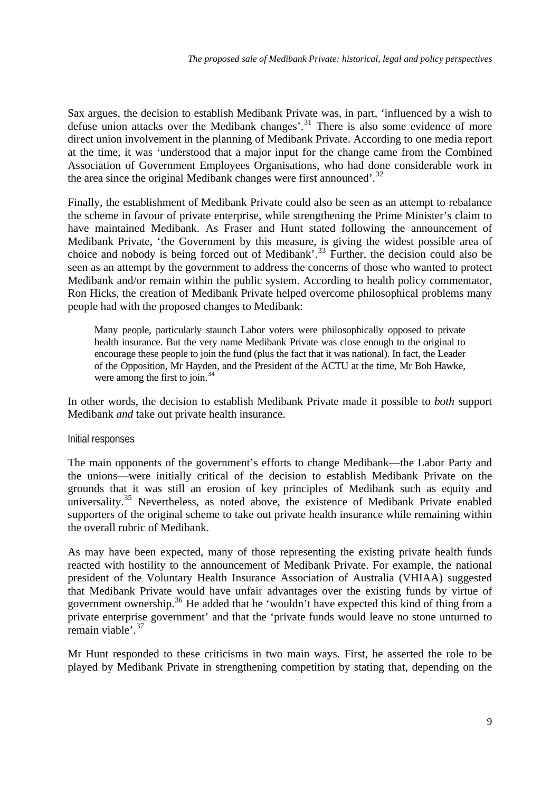<span id="page-10-0"></span>Sax argues, the decision to establish Medibank Private was, in part, 'influenced by a wish to defuse union attacks over the Medibank changes'.<sup>[31](#page-47-1)</sup> There is also some evidence of more direct union involvement in the planning of Medibank Private. According to one media report at the time, it was 'understood that a major input for the change came from the Combined Association of Government Employees Organisations, who had done considerable work in the area since the original Medibank changes were first announced'. $32$ 

Finally, the establishment of Medibank Private could also be seen as an attempt to rebalance the scheme in favour of private enterprise, while strengthening the Prime Minister's claim to have maintained Medibank. As Fraser and Hunt stated following the announcement of Medibank Private, 'the Government by this measure, is giving the widest possible area of choice and nobody is being forced out of Medibank'.[33](#page-47-1) Further, the decision could also be seen as an attempt by the government to address the concerns of those who wanted to protect Medibank and/or remain within the public system. According to health policy commentator, Ron Hicks, the creation of Medibank Private helped overcome philosophical problems many people had with the proposed changes to Medibank:

Many people, particularly staunch Labor voters were philosophically opposed to private health insurance. But the very name Medibank Private was close enough to the original to encourage these people to join the fund (plus the fact that it was national). In fact, the Leader of the Opposition, Mr Hayden, and the President of the ACTU at the time, Mr Bob Hawke, were among the first to join. $34$ 

In other words, the decision to establish Medibank Private made it possible to *both* support Medibank *and* take out private health insurance.

#### Initial responses

The main opponents of the government's efforts to change Medibank—the Labor Party and the unions—were initially critical of the decision to establish Medibank Private on the grounds that it was still an erosion of key principles of Medibank such as equity and universality.<sup>[35](#page-47-1)</sup> Nevertheless, as noted above, the existence of Medibank Private enabled supporters of the original scheme to take out private health insurance while remaining within the overall rubric of Medibank.

As may have been expected, many of those representing the existing private health funds reacted with hostility to the announcement of Medibank Private. For example, the national president of the Voluntary Health Insurance Association of Australia (VHIAA) suggested that Medibank Private would have unfair advantages over the existing funds by virtue of government ownership.[36](#page-47-1) He added that he 'wouldn't have expected this kind of thing from a private enterprise government' and that the 'private funds would leave no stone unturned to remain viable'.[37](#page-47-1)

Mr Hunt responded to these criticisms in two main ways. First, he asserted the role to be played by Medibank Private in strengthening competition by stating that, depending on the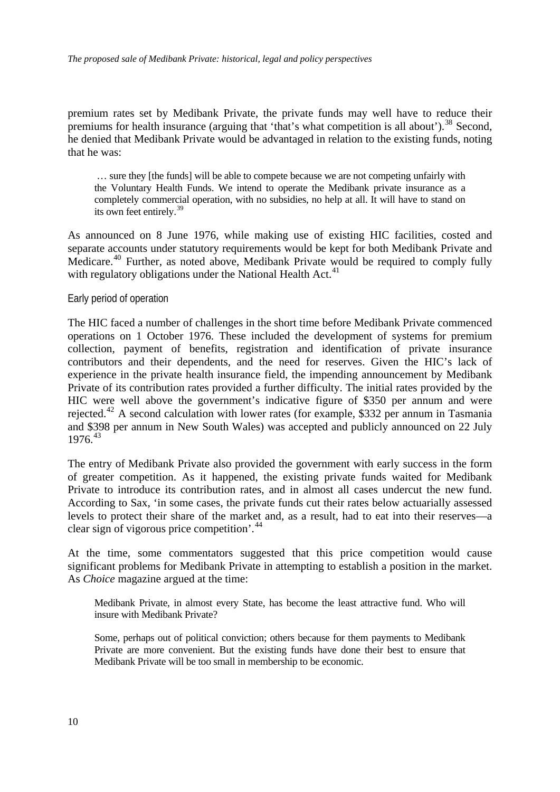<span id="page-11-0"></span>premium rates set by Medibank Private, the private funds may well have to reduce their premiums for health insurance (arguing that 'that's what competition is all about').<sup>[38](#page-47-1)</sup> Second, he denied that Medibank Private would be advantaged in relation to the existing funds, noting that he was:

 … sure they [the funds] will be able to compete because we are not competing unfairly with the Voluntary Health Funds. We intend to operate the Medibank private insurance as a completely commercial operation, with no subsidies, no help at all. It will have to stand on its own feet entirely.[39](#page-47-1)

As announced on 8 June 1976, while making use of existing HIC facilities, costed and separate accounts under statutory requirements would be kept for both Medibank Private and Medicare.<sup>[40](#page-47-1)</sup> Further, as noted above, Medibank Private would be required to comply fully with regulatory obligations under the National Health Act.<sup>[41](#page-47-1)</sup>

#### Early period of operation

The HIC faced a number of challenges in the short time before Medibank Private commenced operations on 1 October 1976. These included the development of systems for premium collection, payment of benefits, registration and identification of private insurance contributors and their dependents, and the need for reserves. Given the HIC's lack of experience in the private health insurance field, the impending announcement by Medibank Private of its contribution rates provided a further difficulty. The initial rates provided by the HIC were well above the government's indicative figure of \$350 per annum and were rejected.[42](#page-47-1) A second calculation with lower rates (for example, \$332 per annum in Tasmania and \$398 per annum in New South Wales) was accepted and publicly announced on 22 July  $1976^{43}$  $1976^{43}$  $1976^{43}$ 

The entry of Medibank Private also provided the government with early success in the form of greater competition. As it happened, the existing private funds waited for Medibank Private to introduce its contribution rates, and in almost all cases undercut the new fund. According to Sax, 'in some cases, the private funds cut their rates below actuarially assessed levels to protect their share of the market and, as a result, had to eat into their reserves—a clear sign of vigorous price competition'.[44](#page-47-1)

At the time, some commentators suggested that this price competition would cause significant problems for Medibank Private in attempting to establish a position in the market. As *Choice* magazine argued at the time:

Medibank Private, in almost every State, has become the least attractive fund. Who will insure with Medibank Private?

Some, perhaps out of political conviction; others because for them payments to Medibank Private are more convenient. But the existing funds have done their best to ensure that Medibank Private will be too small in membership to be economic.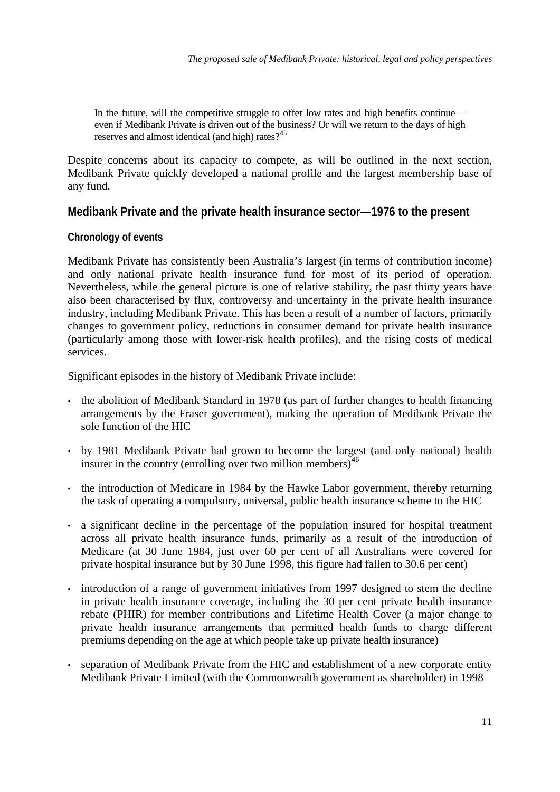<span id="page-12-0"></span>In the future, will the competitive struggle to offer low rates and high benefits continue even if Medibank Private is driven out of the business? Or will we return to the days of high reserves and almost identical (and high) rates?<sup>[45](#page-47-1)</sup>

Despite concerns about its capacity to compete, as will be outlined in the next section, Medibank Private quickly developed a national profile and the largest membership base of any fund.

## **Medibank Private and the private health insurance sector—1976 to the present**

## **Chronology of events**

Medibank Private has consistently been Australia's largest (in terms of contribution income) and only national private health insurance fund for most of its period of operation. Nevertheless, while the general picture is one of relative stability, the past thirty years have also been characterised by flux, controversy and uncertainty in the private health insurance industry, including Medibank Private. This has been a result of a number of factors, primarily changes to government policy, reductions in consumer demand for private health insurance (particularly among those with lower-risk health profiles), and the rising costs of medical services.

Significant episodes in the history of Medibank Private include:

- the abolition of Medibank Standard in 1978 (as part of further changes to health financing arrangements by the Fraser government), making the operation of Medibank Private the sole function of the HIC
- by 1981 Medibank Private had grown to become the largest (and only national) health insurer in the country (enrolling over two million members) $46$
- the introduction of Medicare in 1984 by the Hawke Labor government, thereby returning the task of operating a compulsory, universal, public health insurance scheme to the HIC
- a significant decline in the percentage of the population insured for hospital treatment across all private health insurance funds, primarily as a result of the introduction of Medicare (at 30 June 1984, just over 60 per cent of all Australians were covered for private hospital insurance but by 30 June 1998, this figure had fallen to 30.6 per cent)
- introduction of a range of government initiatives from 1997 designed to stem the decline in private health insurance coverage, including the 30 per cent private health insurance rebate (PHIR) for member contributions and Lifetime Health Cover (a major change to private health insurance arrangements that permitted health funds to charge different premiums depending on the age at which people take up private health insurance)
- separation of Medibank Private from the HIC and establishment of a new corporate entity Medibank Private Limited (with the Commonwealth government as shareholder) in 1998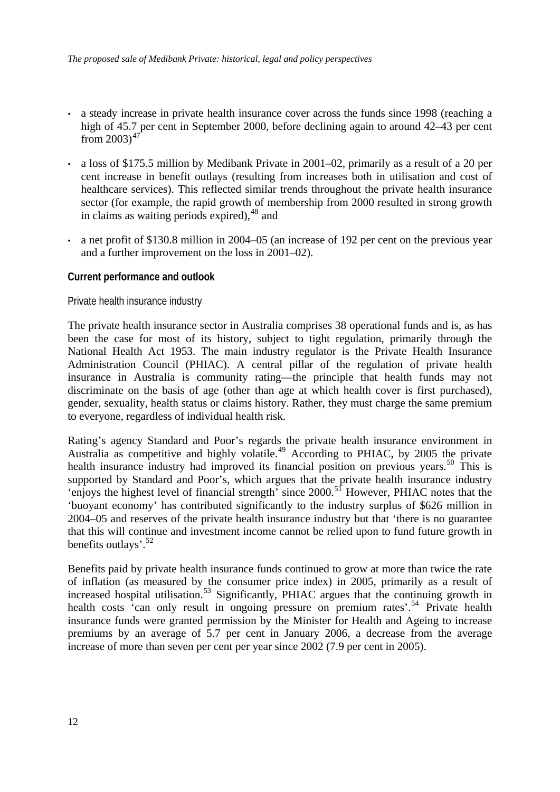- <span id="page-13-0"></span>• a steady increase in private health insurance cover across the funds since 1998 (reaching a high of 45.7 per cent in September 2000, before declining again to around 42–43 per cent from  $2003$ <sup>[47](#page-47-1)</sup>
- a loss of \$175.5 million by Medibank Private in 2001–02, primarily as a result of a 20 per cent increase in benefit outlays (resulting from increases both in utilisation and cost of healthcare services). This reflected similar trends throughout the private health insurance sector (for example, the rapid growth of membership from 2000 resulted in strong growth in claims as waiting periods expired),  $48$  and
- a net profit of \$130.8 million in 2004–05 (an increase of 192 per cent on the previous year and a further improvement on the loss in 2001–02).

### **Current performance and outlook**

Private health insurance industry

The private health insurance sector in Australia comprises 38 operational funds and is, as has been the case for most of its history, subject to tight regulation, primarily through the National Health Act 1953. The main industry regulator is the Private Health Insurance Administration Council (PHIAC). A central pillar of the regulation of private health insurance in Australia is community rating—the principle that health funds may not discriminate on the basis of age (other than age at which health cover is first purchased), gender, sexuality, health status or claims history. Rather, they must charge the same premium to everyone, regardless of individual health risk.

Rating's agency Standard and Poor's regards the private health insurance environment in Australia as competitive and highly volatile.<sup>[49](#page-47-1)</sup> According to PHIAC, by 2005 the private health insurance industry had improved its financial position on previous years.<sup>[50](#page-47-1)</sup> This is supported by Standard and Poor's, which argues that the private health insurance industry 'enjoys the highest level of financial strength' since 2000.[51](#page-47-1) However, PHIAC notes that the 'buoyant economy' has contributed significantly to the industry surplus of \$626 million in 2004–05 and reserves of the private health insurance industry but that 'there is no guarantee that this will continue and investment income cannot be relied upon to fund future growth in benefits outlays'.[52](#page-47-1)

Benefits paid by private health insurance funds continued to grow at more than twice the rate of inflation (as measured by the consumer price index) in 2005, primarily as a result of increased hospital utilisation.<sup>[53](#page-47-1)</sup> Significantly, PHIAC argues that the continuing growth in health costs 'can only result in ongoing pressure on premium rates'.<sup>[54](#page-47-1)</sup> Private health insurance funds were granted permission by the Minister for Health and Ageing to increase premiums by an average of 5.7 per cent in January 2006, a decrease from the average increase of more than seven per cent per year since 2002 (7.9 per cent in 2005).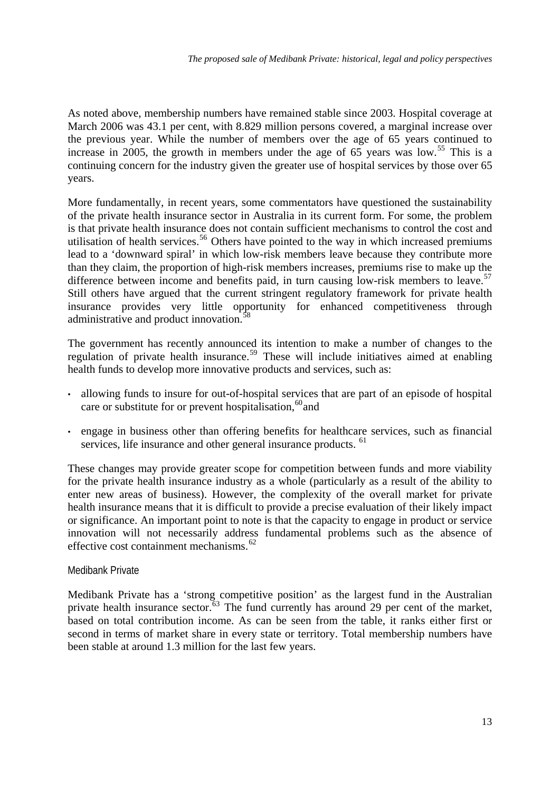<span id="page-14-0"></span>As noted above, membership numbers have remained stable since 2003. Hospital coverage at March 2006 was 43.1 per cent, with 8.829 million persons covered, a marginal increase over the previous year. While the number of members over the age of 65 years continued to increase in 2005, the growth in members under the age of 65 years was low.<sup>[55](#page-47-1)</sup> This is a continuing concern for the industry given the greater use of hospital services by those over 65 years.

More fundamentally, in recent years, some commentators have questioned the sustainability of the private health insurance sector in Australia in its current form. For some, the problem is that private health insurance does not contain sufficient mechanisms to control the cost and utilisation of health services.<sup>[56](#page-47-1)</sup> Others have pointed to the way in which increased premiums lead to a 'downward spiral' in which low-risk members leave because they contribute more than they claim, the proportion of high-risk members increases, premiums rise to make up the difference between income and benefits paid, in turn causing low-risk members to leave.<sup>[57](#page-47-1)</sup> Still others have argued that the current stringent regulatory framework for private health insurance provides very little opportunity for enhanced competitiveness through administrative and product innovation.<sup>[58](#page-47-1)</sup>

The government has recently announced its intention to make a number of changes to the regulation of private health insurance.<sup>[59](#page-47-1)</sup> These will include initiatives aimed at enabling health funds to develop more innovative products and services, such as:

- allowing funds to insure for out-of-hospital services that are part of an episode of hospital care or substitute for or prevent hospitalisation,  $60$  and
- engage in business other than offering benefits for healthcare services, such as financial services, life insurance and other general insurance products. <sup>[61](#page-47-1)</sup>

These changes may provide greater scope for competition between funds and more viability for the private health insurance industry as a whole (particularly as a result of the ability to enter new areas of business). However, the complexity of the overall market for private health insurance means that it is difficult to provide a precise evaluation of their likely impact or significance. An important point to note is that the capacity to engage in product or service innovation will not necessarily address fundamental problems such as the absence of effective cost containment mechanisms.<sup>[62](#page-47-1)</sup>

### Medibank Private

Medibank Private has a 'strong competitive position' as the largest fund in the Australian private health insurance sector.<sup>[63](#page-47-1)</sup> The fund currently has around 29 per cent of the market, based on total contribution income. As can be seen from the table, it ranks either first or second in terms of market share in every state or territory. Total membership numbers have been stable at around 1.3 million for the last few years.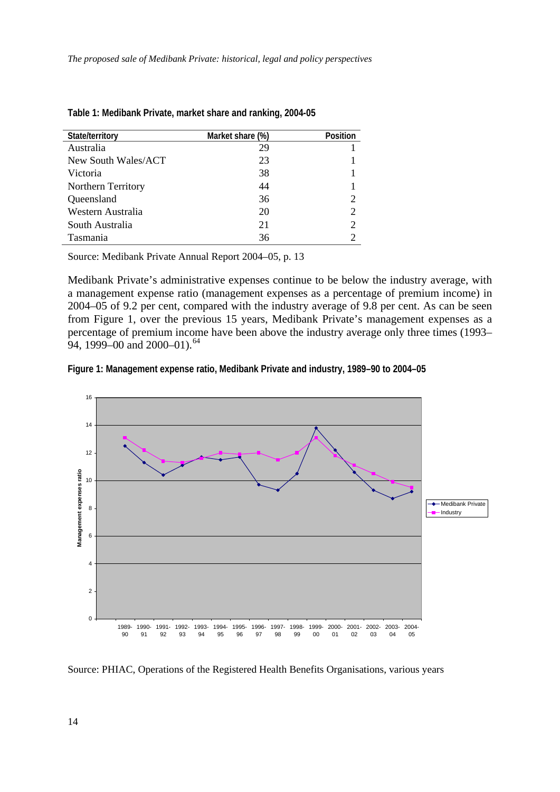| State/territory     | Market share (%) | <b>Position</b>             |
|---------------------|------------------|-----------------------------|
| Australia           | 29               |                             |
| New South Wales/ACT | 23               |                             |
| Victoria            | 38               |                             |
| Northern Territory  | 44               |                             |
| Queensland          | 36               | 2                           |
| Western Australia   | 20               | $\overline{2}$              |
| South Australia     | 21               | $\mathcal{D}_{\mathcal{A}}$ |
| Tasmania            | 36               |                             |

| Table 1: Medibank Private, market share and ranking, 2004-05 |  |
|--------------------------------------------------------------|--|
|--------------------------------------------------------------|--|

Source: Medibank Private Annual Report 2004–05, p. 13

Medibank Private's administrative expenses continue to be below the industry average, with a management expense ratio (management expenses as a percentage of premium income) in 2004–05 of 9.2 per cent, compared with the industry average of 9.8 per cent. As can be seen from Figure 1, over the previous 15 years, Medibank Private's management expenses as a percentage of premium income have been above the industry average only three times (1993– 94, 1999–00 and 2000–01).<sup>[64](#page-47-1)</sup>





Source: PHIAC, Operations of the Registered Health Benefits Organisations, various years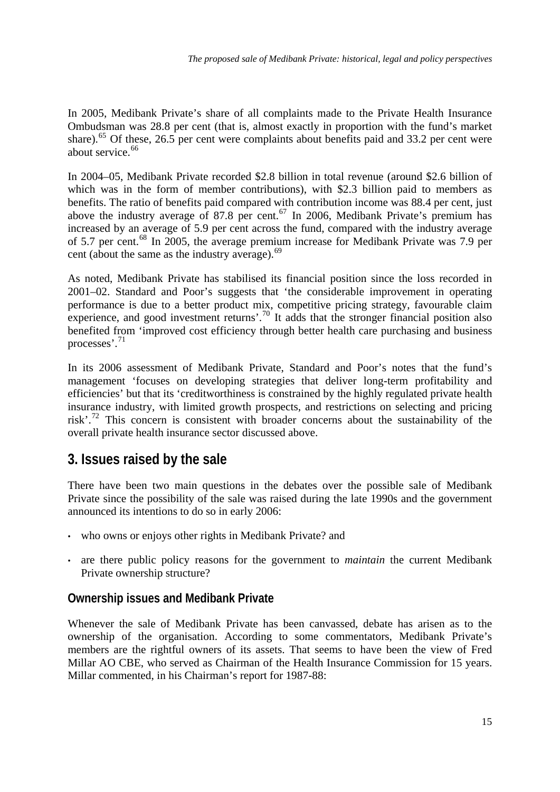<span id="page-16-0"></span>In 2005, Medibank Private's share of all complaints made to the Private Health Insurance Ombudsman was 28.8 per cent (that is, almost exactly in proportion with the fund's market share).<sup>[65](#page-47-1)</sup> Of these, 26.5 per cent were complaints about benefits paid and 33.2 per cent were about service.<sup>[66](#page-47-1)</sup>

In 2004–05, Medibank Private recorded \$2.8 billion in total revenue (around \$2.6 billion of which was in the form of member contributions), with \$2.3 billion paid to members as benefits. The ratio of benefits paid compared with contribution income was 88.4 per cent, just above the industry average of 87.8 per cent.<sup>[67](#page-47-1)</sup> In 2006, Medibank Private's premium has increased by an average of 5.9 per cent across the fund, compared with the industry average of 5.7 per cent.[68](#page-47-1) In 2005, the average premium increase for Medibank Private was 7.9 per cent (about the same as the industry average).<sup>[69](#page-47-1)</sup>

As noted, Medibank Private has stabilised its financial position since the loss recorded in 2001–02. Standard and Poor's suggests that 'the considerable improvement in operating performance is due to a better product mix, competitive pricing strategy, favourable claim experience, and good investment returns'.<sup>[70](#page-47-1)</sup> It adds that the stronger financial position also benefited from 'improved cost efficiency through better health care purchasing and business processes'.[71](#page-47-1)

In its 2006 assessment of Medibank Private, Standard and Poor's notes that the fund's management 'focuses on developing strategies that deliver long-term profitability and efficiencies' but that its 'creditworthiness is constrained by the highly regulated private health insurance industry, with limited growth prospects, and restrictions on selecting and pricing risk'.[72](#page-47-1) This concern is consistent with broader concerns about the sustainability of the overall private health insurance sector discussed above.

# **3. Issues raised by the sale**

There have been two main questions in the debates over the possible sale of Medibank Private since the possibility of the sale was raised during the late 1990s and the government announced its intentions to do so in early 2006:

- who owns or enjoys other rights in Medibank Private? and
- are there public policy reasons for the government to *maintain* the current Medibank Private ownership structure?

## **Ownership issues and Medibank Private**

Whenever the sale of Medibank Private has been canvassed, debate has arisen as to the ownership of the organisation. According to some commentators, Medibank Private's members are the rightful owners of its assets. That seems to have been the view of Fred Millar AO CBE, who served as Chairman of the Health Insurance Commission for 15 years. Millar commented, in his Chairman's report for 1987-88: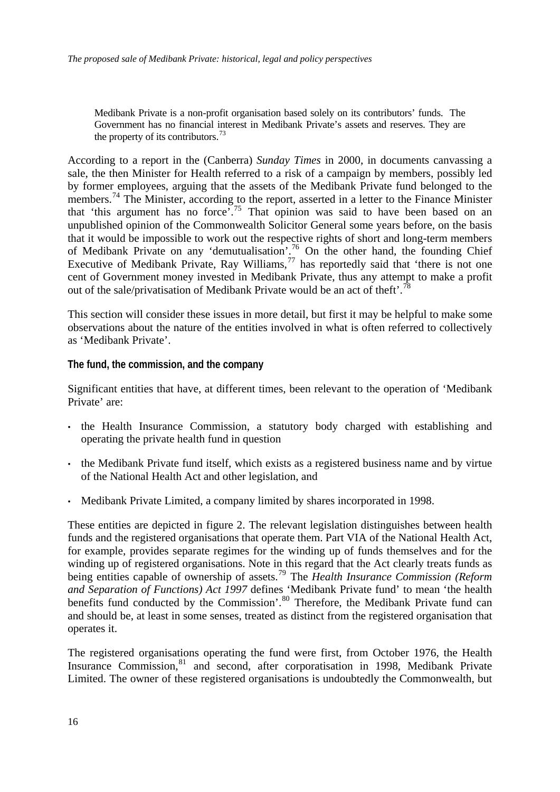<span id="page-17-0"></span>Medibank Private is a non-profit organisation based solely on its contributors' funds. The Government has no financial interest in Medibank Private's assets and reserves. They are the property of its contributors.<sup>[73](#page-47-1)</sup>

According to a report in the (Canberra) *Sunday Times* in 2000, in documents canvassing a sale, the then Minister for Health referred to a risk of a campaign by members, possibly led by former employees, arguing that the assets of the Medibank Private fund belonged to the members.<sup>[74](#page-47-1)</sup> The Minister, according to the report, asserted in a letter to the Finance Minister that 'this argument has no force'.[75](#page-47-1) That opinion was said to have been based on an unpublished opinion of the Commonwealth Solicitor General some years before, on the basis that it would be impossible to work out the respective rights of short and long-term members of Medibank Private on any 'demutualisation'.<sup>[76](#page-47-1)</sup> On the other hand, the founding Chief Executive of Medibank Private, Ray Williams,  $77$  has reportedly said that 'there is not one cent of Government money invested in Medibank Private, thus any attempt to make a profit out of the sale/privatisation of Medibank Private would be an act of theft'.<sup>[78](#page-47-1)</sup>

This section will consider these issues in more detail, but first it may be helpful to make some observations about the nature of the entities involved in what is often referred to collectively as 'Medibank Private'.

**The fund, the commission, and the company** 

Significant entities that have, at different times, been relevant to the operation of 'Medibank Private' are:

- the Health Insurance Commission, a statutory body charged with establishing and operating the private health fund in question
- the Medibank Private fund itself, which exists as a registered business name and by virtue of the National Health Act and other legislation, and
- Medibank Private Limited, a company limited by shares incorporated in 1998.

These entities are depicted in figure 2. The relevant legislation distinguishes between health funds and the registered organisations that operate them. Part VIA of the National Health Act, for example, provides separate regimes for the winding up of funds themselves and for the winding up of registered organisations. Note in this regard that the Act clearly treats funds as being entities capable of ownership of assets.<sup>[79](#page-47-1)</sup> The *Health Insurance Commission (Reform*) *and Separation of Functions) Act 1997* defines 'Medibank Private fund' to mean 'the health benefits fund conducted by the Commission'.<sup>[80](#page-47-1)</sup> Therefore, the Medibank Private fund can and should be, at least in some senses, treated as distinct from the registered organisation that operates it.

The registered organisations operating the fund were first, from October 1976, the Health Insurance Commission,<sup>[81](#page-47-1)</sup> and second, after corporatisation in 1998, Medibank Private Limited. The owner of these registered organisations is undoubtedly the Commonwealth, but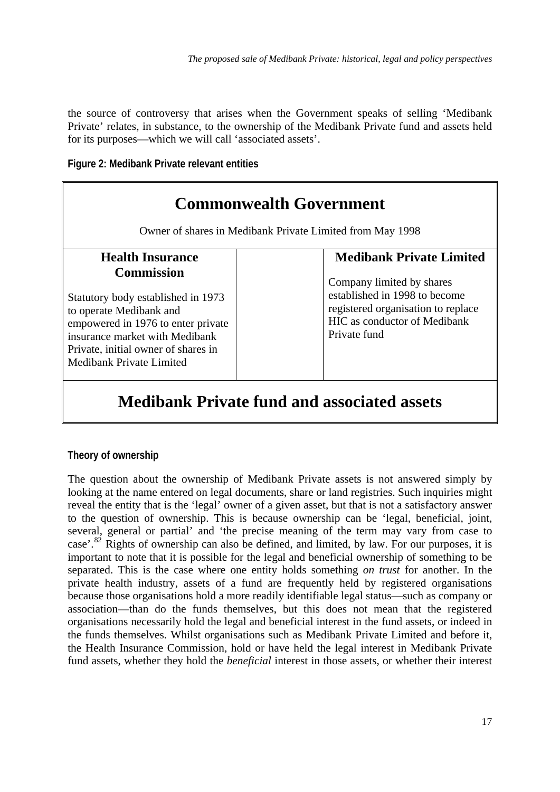<span id="page-18-0"></span>the source of controversy that arises when the Government speaks of selling 'Medibank Private' relates, in substance, to the ownership of the Medibank Private fund and assets held for its purposes—which we will call 'associated assets'.

**Figure 2: Medibank Private relevant entities** 

| <b>Commonwealth Government</b><br>Owner of shares in Medibank Private Limited from May 1998                                                                                                                                          |                                                                                                                                                         |  |  |  |
|--------------------------------------------------------------------------------------------------------------------------------------------------------------------------------------------------------------------------------------|---------------------------------------------------------------------------------------------------------------------------------------------------------|--|--|--|
| <b>Health Insurance</b>                                                                                                                                                                                                              | <b>Medibank Private Limited</b>                                                                                                                         |  |  |  |
| <b>Commission</b><br>Statutory body established in 1973<br>to operate Medibank and<br>empowered in 1976 to enter private<br>insurance market with Medibank<br>Private, initial owner of shares in<br><b>Medibank Private Limited</b> | Company limited by shares<br>established in 1998 to become<br>registered organisation to replace<br><b>HIC</b> as conductor of Medibank<br>Private fund |  |  |  |

# **Medibank Private fund and associated assets**

## **Theory of ownership**

The question about the ownership of Medibank Private assets is not answered simply by looking at the name entered on legal documents, share or land registries. Such inquiries might reveal the entity that is the 'legal' owner of a given asset, but that is not a satisfactory answer to the question of ownership. This is because ownership can be 'legal, beneficial, joint, several, general or partial' and 'the precise meaning of the term may vary from case to case'.<sup>[82](#page-47-1)</sup> Rights of ownership can also be defined, and limited, by law. For our purposes, it is important to note that it is possible for the legal and beneficial ownership of something to be separated. This is the case where one entity holds something *on trust* for another. In the private health industry, assets of a fund are frequently held by registered organisations because those organisations hold a more readily identifiable legal status—such as company or association—than do the funds themselves, but this does not mean that the registered organisations necessarily hold the legal and beneficial interest in the fund assets, or indeed in the funds themselves. Whilst organisations such as Medibank Private Limited and before it, the Health Insurance Commission, hold or have held the legal interest in Medibank Private fund assets, whether they hold the *beneficial* interest in those assets, or whether their interest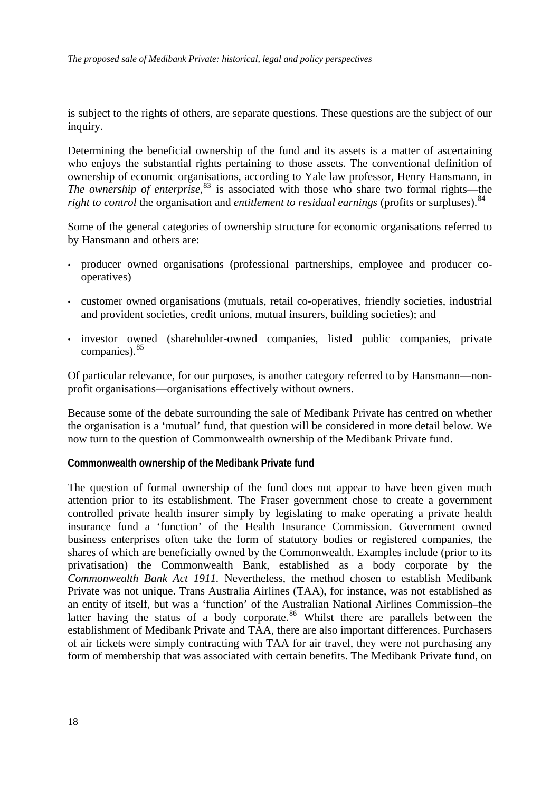<span id="page-19-0"></span>is subject to the rights of others, are separate questions. These questions are the subject of our inquiry.

Determining the beneficial ownership of the fund and its assets is a matter of ascertaining who enjoys the substantial rights pertaining to those assets. The conventional definition of ownership of economic organisations, according to Yale law professor, Henry Hansmann, in *The ownership of enterprise*, [83](#page-47-1) is associated with those who share two formal rights—the *right to control* the organisation and *entitlement to residual earnings* (profits or surpluses).<sup>[84](#page-47-1)</sup>

Some of the general categories of ownership structure for economic organisations referred to by Hansmann and others are:

- producer owned organisations (professional partnerships, employee and producer cooperatives)
- customer owned organisations (mutuals, retail co-operatives, friendly societies, industrial and provident societies, credit unions, mutual insurers, building societies); and
- investor owned (shareholder-owned companies, listed public companies, private companies).<sup>[85](#page-47-1)</sup>

Of particular relevance, for our purposes, is another category referred to by Hansmann—nonprofit organisations—organisations effectively without owners.

Because some of the debate surrounding the sale of Medibank Private has centred on whether the organisation is a 'mutual' fund, that question will be considered in more detail below. We now turn to the question of Commonwealth ownership of the Medibank Private fund.

### **Commonwealth ownership of the Medibank Private fund**

The question of formal ownership of the fund does not appear to have been given much attention prior to its establishment. The Fraser government chose to create a government controlled private health insurer simply by legislating to make operating a private health insurance fund a 'function' of the Health Insurance Commission. Government owned business enterprises often take the form of statutory bodies or registered companies, the shares of which are beneficially owned by the Commonwealth. Examples include (prior to its privatisation) the Commonwealth Bank, established as a body corporate by the *Commonwealth Bank Act 1911.* Nevertheless, the method chosen to establish Medibank Private was not unique. Trans Australia Airlines (TAA), for instance, was not established as an entity of itself, but was a 'function' of the Australian National Airlines Commission–the latter having the status of a body corporate.<sup>[86](#page-47-1)</sup> Whilst there are parallels between the establishment of Medibank Private and TAA, there are also important differences. Purchasers of air tickets were simply contracting with TAA for air travel, they were not purchasing any form of membership that was associated with certain benefits. The Medibank Private fund, on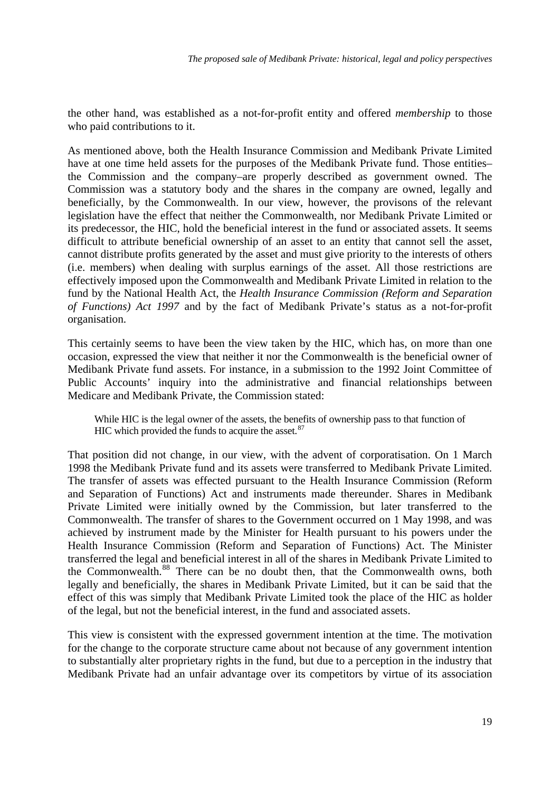the other hand, was established as a not-for-profit entity and offered *membership* to those who paid contributions to it.

As mentioned above, both the Health Insurance Commission and Medibank Private Limited have at one time held assets for the purposes of the Medibank Private fund. Those entities– the Commission and the company–are properly described as government owned. The Commission was a statutory body and the shares in the company are owned, legally and beneficially, by the Commonwealth. In our view, however, the provisons of the relevant legislation have the effect that neither the Commonwealth, nor Medibank Private Limited or its predecessor, the HIC, hold the beneficial interest in the fund or associated assets. It seems difficult to attribute beneficial ownership of an asset to an entity that cannot sell the asset, cannot distribute profits generated by the asset and must give priority to the interests of others (i.e. members) when dealing with surplus earnings of the asset. All those restrictions are effectively imposed upon the Commonwealth and Medibank Private Limited in relation to the fund by the National Health Act, the *Health Insurance Commission (Reform and Separation of Functions) Act 1997* and by the fact of Medibank Private's status as a not-for-profit organisation.

This certainly seems to have been the view taken by the HIC, which has, on more than one occasion, expressed the view that neither it nor the Commonwealth is the beneficial owner of Medibank Private fund assets. For instance, in a submission to the 1992 Joint Committee of Public Accounts' inquiry into the administrative and financial relationships between Medicare and Medibank Private, the Commission stated:

While HIC is the legal owner of the assets, the benefits of ownership pass to that function of HIC which provided the funds to acquire the asset. $87$ 

That position did not change, in our view, with the advent of corporatisation. On 1 March 1998 the Medibank Private fund and its assets were transferred to Medibank Private Limited. The transfer of assets was effected pursuant to the Health Insurance Commission (Reform and Separation of Functions) Act and instruments made thereunder. Shares in Medibank Private Limited were initially owned by the Commission, but later transferred to the Commonwealth. The transfer of shares to the Government occurred on 1 May 1998, and was achieved by instrument made by the Minister for Health pursuant to his powers under the Health Insurance Commission (Reform and Separation of Functions) Act. The Minister transferred the legal and beneficial interest in all of the shares in Medibank Private Limited to the Commonwealth.<sup>[88](#page-47-1)</sup> There can be no doubt then, that the Commonwealth owns, both legally and beneficially, the shares in Medibank Private Limited, but it can be said that the effect of this was simply that Medibank Private Limited took the place of the HIC as holder of the legal, but not the beneficial interest, in the fund and associated assets.

This view is consistent with the expressed government intention at the time. The motivation for the change to the corporate structure came about not because of any government intention to substantially alter proprietary rights in the fund, but due to a perception in the industry that Medibank Private had an unfair advantage over its competitors by virtue of its association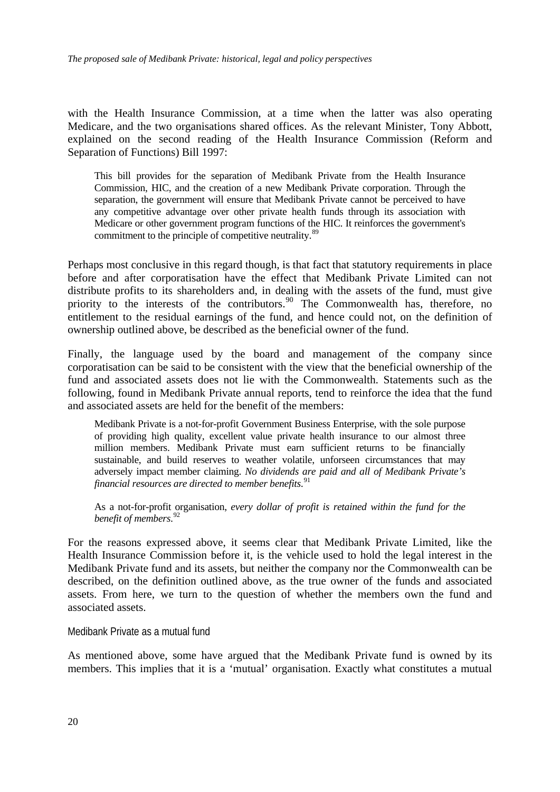<span id="page-21-0"></span>with the Health Insurance Commission, at a time when the latter was also operating Medicare, and the two organisations shared offices. As the relevant Minister, Tony Abbott, explained on the second reading of the Health Insurance Commission (Reform and Separation of Functions) Bill 1997:

This bill provides for the separation of Medibank Private from the Health Insurance Commission, HIC, and the creation of a new Medibank Private corporation. Through the separation, the government will ensure that Medibank Private cannot be perceived to have any competitive advantage over other private health funds through its association with Medicare or other government program functions of the HIC. It reinforces the government's commitment to the principle of competitive neutrality.<sup>[89](#page-47-1)</sup>

Perhaps most conclusive in this regard though, is that fact that statutory requirements in place before and after corporatisation have the effect that Medibank Private Limited can not distribute profits to its shareholders and, in dealing with the assets of the fund, must give priority to the interests of the contributors.<sup>[90](#page-47-1)</sup> The Commonwealth has, therefore, no entitlement to the residual earnings of the fund, and hence could not, on the definition of ownership outlined above, be described as the beneficial owner of the fund.

Finally, the language used by the board and management of the company since corporatisation can be said to be consistent with the view that the beneficial ownership of the fund and associated assets does not lie with the Commonwealth. Statements such as the following, found in Medibank Private annual reports, tend to reinforce the idea that the fund and associated assets are held for the benefit of the members:

Medibank Private is a not-for-profit Government Business Enterprise, with the sole purpose of providing high quality, excellent value private health insurance to our almost three million members. Medibank Private must earn sufficient returns to be financially sustainable, and build reserves to weather volatile, unforseen circumstances that may adversely impact member claiming. *No dividends are paid and all of Medibank Private's financial resources are directed to member benefits*. [91](#page-47-1)

As a not-for-profit organisation, *every dollar of profit is retained within the fund for the benefit of members*. [92](#page-47-1)

For the reasons expressed above, it seems clear that Medibank Private Limited, like the Health Insurance Commission before it, is the vehicle used to hold the legal interest in the Medibank Private fund and its assets, but neither the company nor the Commonwealth can be described, on the definition outlined above, as the true owner of the funds and associated assets. From here, we turn to the question of whether the members own the fund and associated assets.

Medibank Private as a mutual fund

As mentioned above, some have argued that the Medibank Private fund is owned by its members. This implies that it is a 'mutual' organisation. Exactly what constitutes a mutual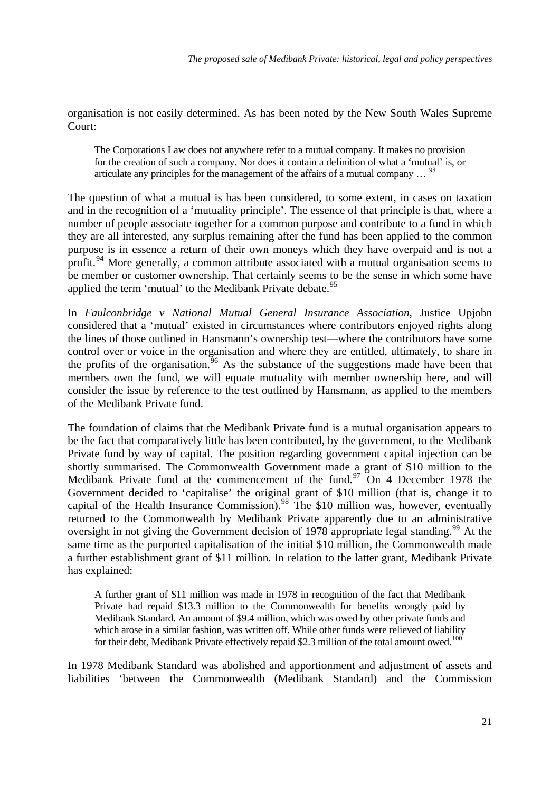organisation is not easily determined. As has been noted by the New South Wales Supreme Court:

The Corporations Law does not anywhere refer to a mutual company. It makes no provision for the creation of such a company. Nor does it contain a definition of what a 'mutual' is, or articulate any principles for the management of the affairs of a mutual company  $\ldots$  <sup>[93](#page-47-1)</sup>

The question of what a mutual is has been considered, to some extent, in cases on taxation and in the recognition of a 'mutuality principle'. The essence of that principle is that, where a number of people associate together for a common purpose and contribute to a fund in which they are all interested, any surplus remaining after the fund has been applied to the common purpose is in essence a return of their own moneys which they have overpaid and is not a profit.<sup>[94](#page-47-1)</sup> More generally, a common attribute associated with a mutual organisation seems to be member or customer ownership. That certainly seems to be the sense in which some have applied the term 'mutual' to the Medibank Private debate.<sup>[95](#page-47-1)</sup>

In *Faulconbridge v National Mutual General Insurance Association*, Justice Upjohn considered that a 'mutual' existed in circumstances where contributors enjoyed rights along the lines of those outlined in Hansmann's ownership test—where the contributors have some control over or voice in the organisation and where they are entitled, ultimately, to share in the profits of the organisation.  $96$  As the substance of the suggestions made have been that members own the fund, we will equate mutuality with member ownership here, and will consider the issue by reference to the test outlined by Hansmann, as applied to the members of the Medibank Private fund.

The foundation of claims that the Medibank Private fund is a mutual organisation appears to be the fact that comparatively little has been contributed, by the government, to the Medibank Private fund by way of capital. The position regarding government capital injection can be shortly summarised. The Commonwealth Government made a grant of \$10 million to the Medibank Private fund at the commencement of the fund.<sup>[97](#page-47-1)</sup> On 4 December 1978 the Government decided to 'capitalise' the original grant of \$10 million (that is, change it to capital of the Health Insurance Commission).<sup>[98](#page-47-1)</sup> The \$10 million was, however, eventually returned to the Commonwealth by Medibank Private apparently due to an administrative oversight in not giving the Government decision of 1978 appropriate legal standing.<sup>[99](#page-47-1)</sup> At the same time as the purported capitalisation of the initial \$10 million, the Commonwealth made a further establishment grant of \$11 million. In relation to the latter grant, Medibank Private has explained:

A further grant of \$11 million was made in 1978 in recognition of the fact that Medibank Private had repaid \$13.3 million to the Commonwealth for benefits wrongly paid by Medibank Standard. An amount of \$9.4 million, which was owed by other private funds and which arose in a similar fashion, was written off. While other funds were relieved of liability for their debt, Medibank Private effectively repaid \$2.3 million of the total amount owed.<sup>[100](#page-47-1)</sup>

In 1978 Medibank Standard was abolished and apportionment and adjustment of assets and liabilities 'between the Commonwealth (Medibank Standard) and the Commission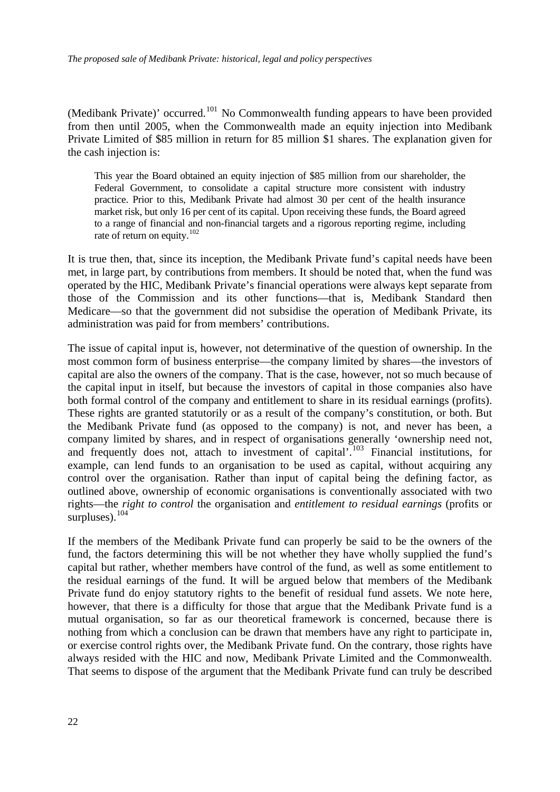(Medibank Private)' occurred.<sup>[101](#page-47-1)</sup> No Commonwealth funding appears to have been provided from then until 2005, when the Commonwealth made an equity injection into Medibank Private Limited of \$85 million in return for 85 million \$1 shares. The explanation given for the cash injection is:

This year the Board obtained an equity injection of \$85 million from our shareholder, the Federal Government, to consolidate a capital structure more consistent with industry practice. Prior to this, Medibank Private had almost 30 per cent of the health insurance market risk, but only 16 per cent of its capital. Upon receiving these funds, the Board agreed to a range of financial and non-financial targets and a rigorous reporting regime, including rate of return on equity.<sup>[102](#page-47-1)</sup>

It is true then, that, since its inception, the Medibank Private fund's capital needs have been met, in large part, by contributions from members. It should be noted that, when the fund was operated by the HIC, Medibank Private's financial operations were always kept separate from those of the Commission and its other functions—that is, Medibank Standard then Medicare—so that the government did not subsidise the operation of Medibank Private, its administration was paid for from members' contributions.

The issue of capital input is, however, not determinative of the question of ownership. In the most common form of business enterprise—the company limited by shares—the investors of capital are also the owners of the company. That is the case, however, not so much because of the capital input in itself, but because the investors of capital in those companies also have both formal control of the company and entitlement to share in its residual earnings (profits). These rights are granted statutorily or as a result of the company's constitution, or both. But the Medibank Private fund (as opposed to the company) is not, and never has been, a company limited by shares, and in respect of organisations generally 'ownership need not, and frequently does not, attach to investment of capital'.<sup>[103](#page-47-1)</sup> Financial institutions, for example, can lend funds to an organisation to be used as capital, without acquiring any control over the organisation. Rather than input of capital being the defining factor, as outlined above, ownership of economic organisations is conventionally associated with two rights—the *right to control* the organisation and *entitlement to residual earnings* (profits or surpluses).<sup>[104](#page-47-1)</sup>

If the members of the Medibank Private fund can properly be said to be the owners of the fund, the factors determining this will be not whether they have wholly supplied the fund's capital but rather, whether members have control of the fund, as well as some entitlement to the residual earnings of the fund. It will be argued below that members of the Medibank Private fund do enjoy statutory rights to the benefit of residual fund assets. We note here, however, that there is a difficulty for those that argue that the Medibank Private fund is a mutual organisation, so far as our theoretical framework is concerned, because there is nothing from which a conclusion can be drawn that members have any right to participate in, or exercise control rights over, the Medibank Private fund. On the contrary, those rights have always resided with the HIC and now, Medibank Private Limited and the Commonwealth. That seems to dispose of the argument that the Medibank Private fund can truly be described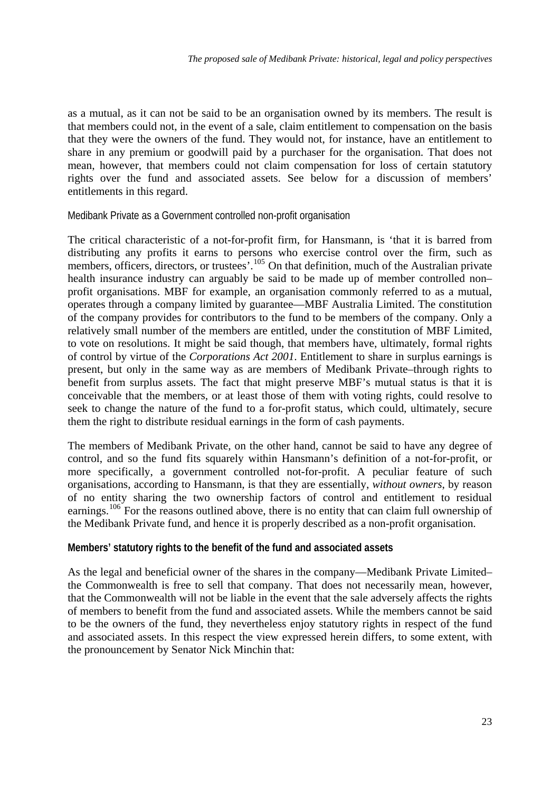<span id="page-24-0"></span>as a mutual, as it can not be said to be an organisation owned by its members. The result is that members could not, in the event of a sale, claim entitlement to compensation on the basis that they were the owners of the fund. They would not, for instance, have an entitlement to share in any premium or goodwill paid by a purchaser for the organisation. That does not mean, however, that members could not claim compensation for loss of certain statutory rights over the fund and associated assets. See below for a discussion of members' entitlements in this regard.

Medibank Private as a Government controlled non-profit organisation

The critical characteristic of a not-for-profit firm, for Hansmann, is 'that it is barred from distributing any profits it earns to persons who exercise control over the firm, such as members, officers, directors, or trustees'.<sup>[105](#page-47-1)</sup> On that definition, much of the Australian private health insurance industry can arguably be said to be made up of member controlled non– profit organisations. MBF for example, an organisation commonly referred to as a mutual, operates through a company limited by guarantee—MBF Australia Limited. The constitution of the company provides for contributors to the fund to be members of the company. Only a relatively small number of the members are entitled, under the constitution of MBF Limited, to vote on resolutions. It might be said though, that members have, ultimately, formal rights of control by virtue of the *Corporations Act 2001*. Entitlement to share in surplus earnings is present, but only in the same way as are members of Medibank Private–through rights to benefit from surplus assets. The fact that might preserve MBF's mutual status is that it is conceivable that the members, or at least those of them with voting rights, could resolve to seek to change the nature of the fund to a for-profit status, which could, ultimately, secure them the right to distribute residual earnings in the form of cash payments.

The members of Medibank Private, on the other hand, cannot be said to have any degree of control, and so the fund fits squarely within Hansmann's definition of a not-for-profit, or more specifically, a government controlled not-for-profit. A peculiar feature of such organisations, according to Hansmann, is that they are essentially, *without owners*, by reason of no entity sharing the two ownership factors of control and entitlement to residual earnings.<sup>[106](#page-47-1)</sup> For the reasons outlined above, there is no entity that can claim full ownership of the Medibank Private fund, and hence it is properly described as a non-profit organisation.

### **Members' statutory rights to the benefit of the fund and associated assets**

As the legal and beneficial owner of the shares in the company—Medibank Private Limited– the Commonwealth is free to sell that company. That does not necessarily mean, however, that the Commonwealth will not be liable in the event that the sale adversely affects the rights of members to benefit from the fund and associated assets. While the members cannot be said to be the owners of the fund, they nevertheless enjoy statutory rights in respect of the fund and associated assets. In this respect the view expressed herein differs, to some extent, with the pronouncement by Senator Nick Minchin that: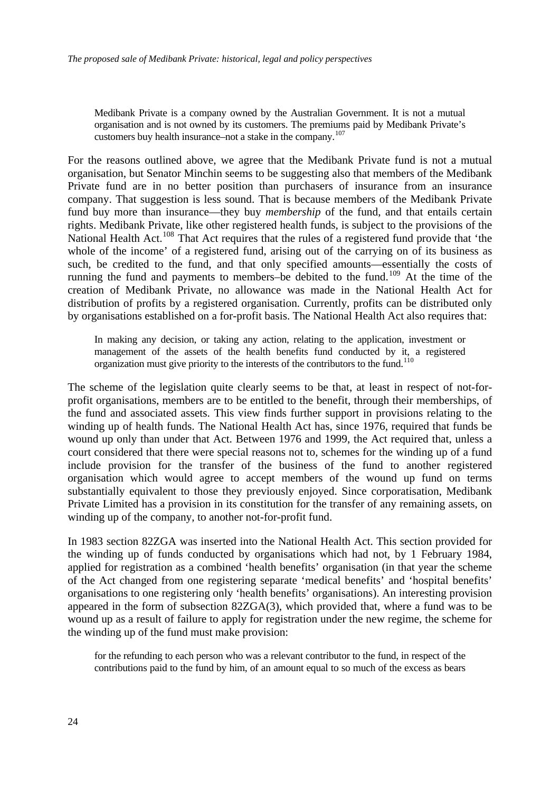Medibank Private is a company owned by the Australian Government. It is not a mutual organisation and is not owned by its customers. The premiums paid by Medibank Private's customers buy health insurance–not a stake in the company.<sup>[107](#page-47-1)</sup>

For the reasons outlined above, we agree that the Medibank Private fund is not a mutual organisation, but Senator Minchin seems to be suggesting also that members of the Medibank Private fund are in no better position than purchasers of insurance from an insurance company. That suggestion is less sound. That is because members of the Medibank Private fund buy more than insurance—they buy *membership* of the fund, and that entails certain rights. Medibank Private, like other registered health funds, is subject to the provisions of the National Health Act.<sup>[108](#page-47-1)</sup> That Act requires that the rules of a registered fund provide that 'the whole of the income' of a registered fund, arising out of the carrying on of its business as such, be credited to the fund, and that only specified amounts—essentially the costs of running the fund and payments to members–be debited to the fund.<sup>[109](#page-47-1)</sup> At the time of the creation of Medibank Private, no allowance was made in the National Health Act for distribution of profits by a registered organisation. Currently, profits can be distributed only by organisations established on a for-profit basis. The National Health Act also requires that:

In making any decision, or taking any action, relating to the application, investment or management of the assets of the health benefits fund conducted by it, a registered organization must give priority to the interests of the contributors to the fund.<sup>[110](#page-47-1)</sup>

The scheme of the legislation quite clearly seems to be that, at least in respect of not-forprofit organisations, members are to be entitled to the benefit, through their memberships, of the fund and associated assets. This view finds further support in provisions relating to the winding up of health funds. The National Health Act has, since 1976, required that funds be wound up only than under that Act. Between 1976 and 1999, the Act required that, unless a court considered that there were special reasons not to, schemes for the winding up of a fund include provision for the transfer of the business of the fund to another registered organisation which would agree to accept members of the wound up fund on terms substantially equivalent to those they previously enjoyed. Since corporatisation, Medibank Private Limited has a provision in its constitution for the transfer of any remaining assets, on winding up of the company, to another not-for-profit fund.

In 1983 section 82ZGA was inserted into the National Health Act. This section provided for the winding up of funds conducted by organisations which had not, by 1 February 1984, applied for registration as a combined 'health benefits' organisation (in that year the scheme of the Act changed from one registering separate 'medical benefits' and 'hospital benefits' organisations to one registering only 'health benefits' organisations). An interesting provision appeared in the form of subsection 82ZGA(3), which provided that, where a fund was to be wound up as a result of failure to apply for registration under the new regime, the scheme for the winding up of the fund must make provision:

for the refunding to each person who was a relevant contributor to the fund, in respect of the contributions paid to the fund by him, of an amount equal to so much of the excess as bears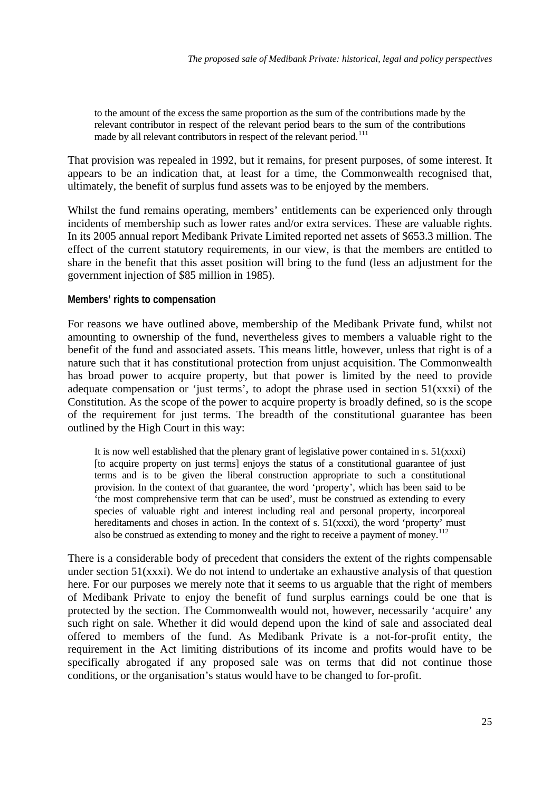<span id="page-26-0"></span>to the amount of the excess the same proportion as the sum of the contributions made by the relevant contributor in respect of the relevant period bears to the sum of the contributions made by all relevant contributors in respect of the relevant period.<sup>[111](#page-47-1)</sup>

That provision was repealed in 1992, but it remains, for present purposes, of some interest. It appears to be an indication that, at least for a time, the Commonwealth recognised that, ultimately, the benefit of surplus fund assets was to be enjoyed by the members.

Whilst the fund remains operating, members' entitlements can be experienced only through incidents of membership such as lower rates and/or extra services. These are valuable rights. In its 2005 annual report Medibank Private Limited reported net assets of \$653.3 million. The effect of the current statutory requirements, in our view, is that the members are entitled to share in the benefit that this asset position will bring to the fund (less an adjustment for the government injection of \$85 million in 1985).

### **Members' rights to compensation**

For reasons we have outlined above, membership of the Medibank Private fund, whilst not amounting to ownership of the fund, nevertheless gives to members a valuable right to the benefit of the fund and associated assets. This means little, however, unless that right is of a nature such that it has constitutional protection from unjust acquisition. The Commonwealth has broad power to acquire property, but that power is limited by the need to provide adequate compensation or 'just terms', to adopt the phrase used in section  $51(xxxi)$  of the Constitution. As the scope of the power to acquire property is broadly defined, so is the scope of the requirement for just terms. The breadth of the constitutional guarantee has been outlined by the High Court in this way:

It is now well established that the plenary grant of legislative power contained in s.  $51(xxxi)$ [to acquire property on just terms] enjoys the status of a constitutional guarantee of just terms and is to be given the liberal construction appropriate to such a constitutional provision. In the context of that guarantee, the word 'property', which has been said to be 'the most comprehensive term that can be used', must be construed as extending to every species of valuable right and interest including real and personal property, incorporeal hereditaments and choses in action. In the context of s.  $51(xxx)$ , the word 'property' must also be construed as extending to money and the right to receive a payment of money.<sup>[112](#page-47-1)</sup>

There is a considerable body of precedent that considers the extent of the rights compensable under section 51(xxxi). We do not intend to undertake an exhaustive analysis of that question here. For our purposes we merely note that it seems to us arguable that the right of members of Medibank Private to enjoy the benefit of fund surplus earnings could be one that is protected by the section. The Commonwealth would not, however, necessarily 'acquire' any such right on sale. Whether it did would depend upon the kind of sale and associated deal offered to members of the fund. As Medibank Private is a not-for-profit entity, the requirement in the Act limiting distributions of its income and profits would have to be specifically abrogated if any proposed sale was on terms that did not continue those conditions, or the organisation's status would have to be changed to for-profit.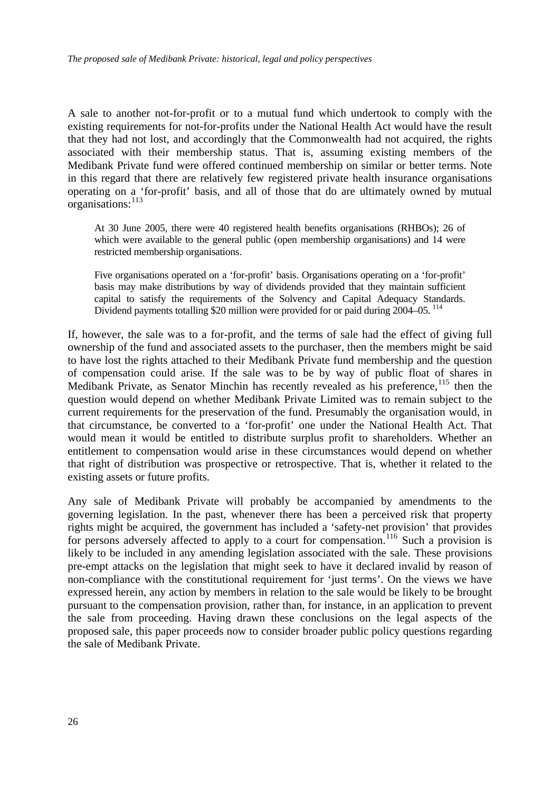A sale to another not-for-profit or to a mutual fund which undertook to comply with the existing requirements for not-for-profits under the National Health Act would have the result that they had not lost, and accordingly that the Commonwealth had not acquired, the rights associated with their membership status. That is, assuming existing members of the Medibank Private fund were offered continued membership on similar or better terms. Note in this regard that there are relatively few registered private health insurance organisations operating on a 'for-profit' basis, and all of those that do are ultimately owned by mutual organisations:  $^{113}$  $^{113}$  $^{113}$ 

At 30 June 2005, there were 40 registered health benefits organisations (RHBOs); 26 of which were available to the general public (open membership organisations) and 14 were restricted membership organisations.

Five organisations operated on a 'for-profit' basis. Organisations operating on a 'for-profit' basis may make distributions by way of dividends provided that they maintain sufficient capital to satisfy the requirements of the Solvency and Capital Adequacy Standards. Dividend payments totalling \$20 million were provided for or paid during 2004–05.<sup>[114](#page-47-1)</sup>

If, however, the sale was to a for-profit, and the terms of sale had the effect of giving full ownership of the fund and associated assets to the purchaser, then the members might be said to have lost the rights attached to their Medibank Private fund membership and the question of compensation could arise. If the sale was to be by way of public float of shares in Medibank Private, as Senator Minchin has recently revealed as his preference,  $115$  then the question would depend on whether Medibank Private Limited was to remain subject to the current requirements for the preservation of the fund. Presumably the organisation would, in that circumstance, be converted to a 'for-profit' one under the National Health Act. That would mean it would be entitled to distribute surplus profit to shareholders. Whether an entitlement to compensation would arise in these circumstances would depend on whether that right of distribution was prospective or retrospective. That is, whether it related to the existing assets or future profits.

Any sale of Medibank Private will probably be accompanied by amendments to the governing legislation. In the past, whenever there has been a perceived risk that property rights might be acquired, the government has included a 'safety-net provision' that provides for persons adversely affected to apply to a court for compensation.<sup>[116](#page-47-1)</sup> Such a provision is likely to be included in any amending legislation associated with the sale. These provisions pre-empt attacks on the legislation that might seek to have it declared invalid by reason of non-compliance with the constitutional requirement for 'just terms'. On the views we have expressed herein, any action by members in relation to the sale would be likely to be brought pursuant to the compensation provision, rather than, for instance, in an application to prevent the sale from proceeding. Having drawn these conclusions on the legal aspects of the proposed sale, this paper proceeds now to consider broader public policy questions regarding the sale of Medibank Private.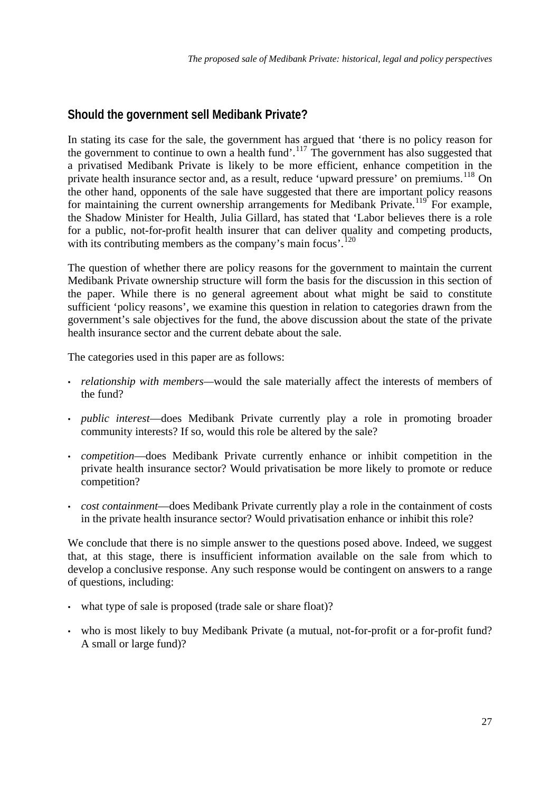## <span id="page-28-0"></span>**Should the government sell Medibank Private?**

In stating its case for the sale, the government has argued that 'there is no policy reason for the government to continue to own a health fund'.<sup>[117](#page-47-1)</sup> The government has also suggested that a privatised Medibank Private is likely to be more efficient, enhance competition in the private health insurance sector and, as a result, reduce 'upward pressure' on premiums.<sup>[118](#page-47-1)</sup> On the other hand, opponents of the sale have suggested that there are important policy reasons for maintaining the current ownership arrangements for Medibank Private.<sup>[119](#page-47-1)</sup> For example, the Shadow Minister for Health, Julia Gillard, has stated that 'Labor believes there is a role for a public, not-for-profit health insurer that can deliver quality and competing products, with its contributing members as the company's main focus'.<sup>[120](#page-47-1)</sup>

The question of whether there are policy reasons for the government to maintain the current Medibank Private ownership structure will form the basis for the discussion in this section of the paper. While there is no general agreement about what might be said to constitute sufficient 'policy reasons', we examine this question in relation to categories drawn from the government's sale objectives for the fund, the above discussion about the state of the private health insurance sector and the current debate about the sale.

The categories used in this paper are as follows:

- *relationship with members—*would the sale materially affect the interests of members of the fund?
- *public interest*—does Medibank Private currently play a role in promoting broader community interests? If so, would this role be altered by the sale?
- *competition*—does Medibank Private currently enhance or inhibit competition in the private health insurance sector? Would privatisation be more likely to promote or reduce competition?
- *cost containment*—does Medibank Private currently play a role in the containment of costs in the private health insurance sector? Would privatisation enhance or inhibit this role?

We conclude that there is no simple answer to the questions posed above. Indeed, we suggest that, at this stage, there is insufficient information available on the sale from which to develop a conclusive response. Any such response would be contingent on answers to a range of questions, including:

- what type of sale is proposed (trade sale or share float)?
- who is most likely to buy Medibank Private (a mutual, not-for-profit or a for-profit fund? A small or large fund)?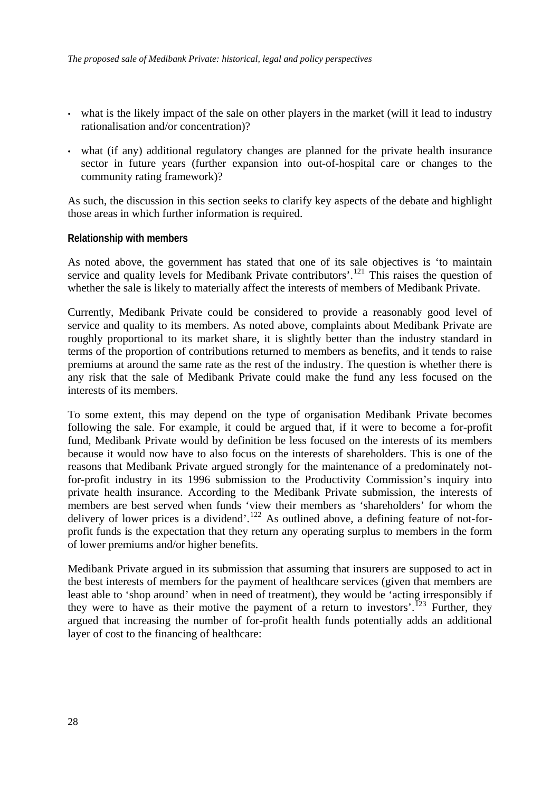- <span id="page-29-0"></span>• what is the likely impact of the sale on other players in the market (will it lead to industry rationalisation and/or concentration)?
- what (if any) additional regulatory changes are planned for the private health insurance sector in future years (further expansion into out-of-hospital care or changes to the community rating framework)?

As such, the discussion in this section seeks to clarify key aspects of the debate and highlight those areas in which further information is required.

### **Relationship with members**

As noted above, the government has stated that one of its sale objectives is 'to maintain service and quality levels for Medibank Private contributors'.<sup>[121](#page-47-1)</sup> This raises the question of whether the sale is likely to materially affect the interests of members of Medibank Private.

Currently, Medibank Private could be considered to provide a reasonably good level of service and quality to its members. As noted above, complaints about Medibank Private are roughly proportional to its market share, it is slightly better than the industry standard in terms of the proportion of contributions returned to members as benefits, and it tends to raise premiums at around the same rate as the rest of the industry. The question is whether there is any risk that the sale of Medibank Private could make the fund any less focused on the interests of its members.

To some extent, this may depend on the type of organisation Medibank Private becomes following the sale. For example, it could be argued that, if it were to become a for-profit fund, Medibank Private would by definition be less focused on the interests of its members because it would now have to also focus on the interests of shareholders. This is one of the reasons that Medibank Private argued strongly for the maintenance of a predominately notfor-profit industry in its 1996 submission to the Productivity Commission's inquiry into private health insurance. According to the Medibank Private submission, the interests of members are best served when funds 'view their members as 'shareholders' for whom the delivery of lower prices is a dividend'.<sup>[122](#page-47-1)</sup> As outlined above, a defining feature of not-forprofit funds is the expectation that they return any operating surplus to members in the form of lower premiums and/or higher benefits.

Medibank Private argued in its submission that assuming that insurers are supposed to act in the best interests of members for the payment of healthcare services (given that members are least able to 'shop around' when in need of treatment), they would be 'acting irresponsibly if they were to have as their motive the payment of a return to investors'.<sup>[123](#page-47-1)</sup> Further, they argued that increasing the number of for-profit health funds potentially adds an additional layer of cost to the financing of healthcare: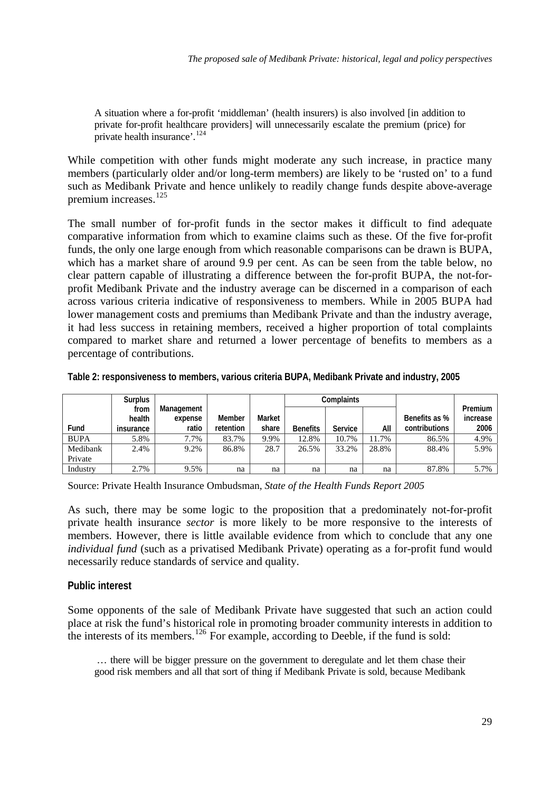<span id="page-30-0"></span>A situation where a for-profit 'middleman' (health insurers) is also involved [in addition to private for-profit healthcare providers] will unnecessarily escalate the premium (price) for private health insurance'.<sup>[124](#page-47-1)</sup>

While competition with other funds might moderate any such increase, in practice many members (particularly older and/or long-term members) are likely to be 'rusted on' to a fund such as Medibank Private and hence unlikely to readily change funds despite above-average premium increases.[125](#page-47-1)

The small number of for-profit funds in the sector makes it difficult to find adequate comparative information from which to examine claims such as these. Of the five for-profit funds, the only one large enough from which reasonable comparisons can be drawn is BUPA, which has a market share of around 9.9 per cent. As can be seen from the table below, no clear pattern capable of illustrating a difference between the for-profit BUPA, the not-forprofit Medibank Private and the industry average can be discerned in a comparison of each across various criteria indicative of responsiveness to members. While in 2005 BUPA had lower management costs and premiums than Medibank Private and than the industry average, it had less success in retaining members, received a higher proportion of total complaints compared to market share and returned a lower percentage of benefits to members as a percentage of contributions.

|             | Surplus   |            |           |        |                 | <b>Complaints</b> |       |               |          |
|-------------|-----------|------------|-----------|--------|-----------------|-------------------|-------|---------------|----------|
|             | from      | Management |           |        |                 |                   |       |               | Premium  |
|             | health    | expense    | Member    | Market |                 |                   |       | Benefits as % | increase |
| Fund        | insurance | ratio      | retention | share  | <b>Benefits</b> | <b>Service</b>    | All   | contributions | 2006     |
| <b>BUPA</b> | 5.8%      | 7.7%       | 83.7%     | 9.9%   | 12.8%           | 10.7%             | 11.7% | 86.5%         | 4.9%     |
| Medibank    | 2.4%      | 9.2%       | 86.8%     | 28.7   | 26.5%           | 33.2%             | 28.8% | 88.4%         | 5.9%     |
| Private     |           |            |           |        |                 |                   |       |               |          |
| Industry    | 2.7%      | 9.5%       | na        | na     | na              | na                | na    | 87.8%         | 5.7%     |

**Table 2: responsiveness to members, various criteria BUPA, Medibank Private and industry, 2005** 

Source: Private Health Insurance Ombudsman, *State of the Health Funds Report 2005* 

As such, there may be some logic to the proposition that a predominately not-for-profit private health insurance *sector* is more likely to be more responsive to the interests of members. However, there is little available evidence from which to conclude that any one *individual fund* (such as a privatised Medibank Private) operating as a for-profit fund would necessarily reduce standards of service and quality.

### **Public interest**

Some opponents of the sale of Medibank Private have suggested that such an action could place at risk the fund's historical role in promoting broader community interests in addition to the interests of its members.<sup>[126](#page-47-1)</sup> For example, according to Deeble, if the fund is sold:

 … there will be bigger pressure on the government to deregulate and let them chase their good risk members and all that sort of thing if Medibank Private is sold, because Medibank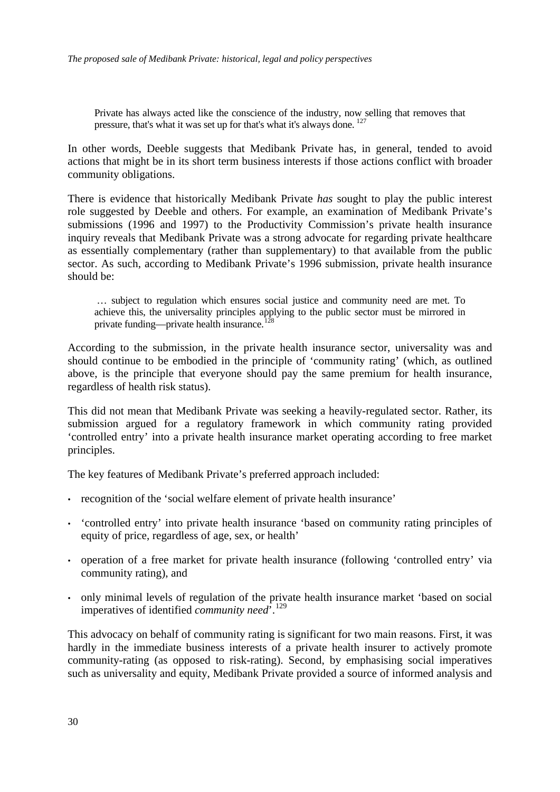Private has always acted like the conscience of the industry, now selling that removes that pressure, that's what it was set up for that's what it's always done. [127](#page-47-1)

In other words, Deeble suggests that Medibank Private has, in general, tended to avoid actions that might be in its short term business interests if those actions conflict with broader community obligations.

There is evidence that historically Medibank Private *has* sought to play the public interest role suggested by Deeble and others. For example, an examination of Medibank Private's submissions (1996 and 1997) to the Productivity Commission's private health insurance inquiry reveals that Medibank Private was a strong advocate for regarding private healthcare as essentially complementary (rather than supplementary) to that available from the public sector. As such, according to Medibank Private's 1996 submission, private health insurance should be:

 … subject to regulation which ensures social justice and community need are met. To achieve this, the universality principles applying to the public sector must be mirrored in private funding—private health insurance.<sup>[128](#page-47-1)</sup>

According to the submission, in the private health insurance sector, universality was and should continue to be embodied in the principle of 'community rating' (which, as outlined above, is the principle that everyone should pay the same premium for health insurance, regardless of health risk status).

This did not mean that Medibank Private was seeking a heavily-regulated sector. Rather, its submission argued for a regulatory framework in which community rating provided 'controlled entry' into a private health insurance market operating according to free market principles.

The key features of Medibank Private's preferred approach included:

- recognition of the 'social welfare element of private health insurance'
- 'controlled entry' into private health insurance 'based on community rating principles of equity of price, regardless of age, sex, or health'
- operation of a free market for private health insurance (following 'controlled entry' via community rating), and
- only minimal levels of regulation of the private health insurance market 'based on social imperatives of identified *community need*'.<sup>[129](#page-47-1)</sup>

This advocacy on behalf of community rating is significant for two main reasons. First, it was hardly in the immediate business interests of a private health insurer to actively promote community-rating (as opposed to risk-rating). Second, by emphasising social imperatives such as universality and equity, Medibank Private provided a source of informed analysis and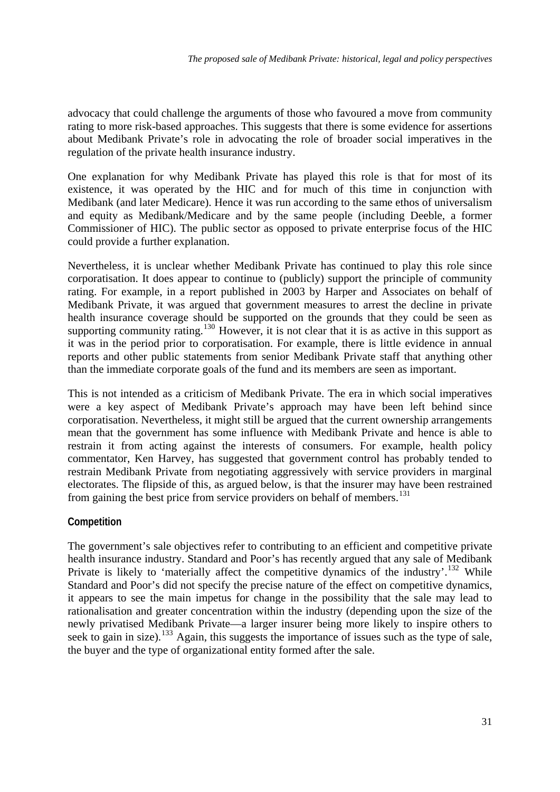<span id="page-32-0"></span>advocacy that could challenge the arguments of those who favoured a move from community rating to more risk-based approaches. This suggests that there is some evidence for assertions about Medibank Private's role in advocating the role of broader social imperatives in the regulation of the private health insurance industry.

One explanation for why Medibank Private has played this role is that for most of its existence, it was operated by the HIC and for much of this time in conjunction with Medibank (and later Medicare). Hence it was run according to the same ethos of universalism and equity as Medibank/Medicare and by the same people (including Deeble, a former Commissioner of HIC). The public sector as opposed to private enterprise focus of the HIC could provide a further explanation.

Nevertheless, it is unclear whether Medibank Private has continued to play this role since corporatisation. It does appear to continue to (publicly) support the principle of community rating. For example, in a report published in 2003 by Harper and Associates on behalf of Medibank Private, it was argued that government measures to arrest the decline in private health insurance coverage should be supported on the grounds that they could be seen as supporting community rating.<sup>[130](#page-47-1)</sup> However, it is not clear that it is as active in this support as it was in the period prior to corporatisation. For example, there is little evidence in annual reports and other public statements from senior Medibank Private staff that anything other than the immediate corporate goals of the fund and its members are seen as important.

This is not intended as a criticism of Medibank Private. The era in which social imperatives were a key aspect of Medibank Private's approach may have been left behind since corporatisation. Nevertheless, it might still be argued that the current ownership arrangements mean that the government has some influence with Medibank Private and hence is able to restrain it from acting against the interests of consumers. For example, health policy commentator, Ken Harvey, has suggested that government control has probably tended to restrain Medibank Private from negotiating aggressively with service providers in marginal electorates. The flipside of this, as argued below, is that the insurer may have been restrained from gaining the best price from service providers on behalf of members.<sup>[131](#page-47-1)</sup>

### **Competition**

The government's sale objectives refer to contributing to an efficient and competitive private health insurance industry. Standard and Poor's has recently argued that any sale of Medibank Private is likely to 'materially affect the competitive dynamics of the industry'.<sup>[132](#page-47-1)</sup> While Standard and Poor's did not specify the precise nature of the effect on competitive dynamics, it appears to see the main impetus for change in the possibility that the sale may lead to rationalisation and greater concentration within the industry (depending upon the size of the newly privatised Medibank Private—a larger insurer being more likely to inspire others to seek to gain in size).<sup>[133](#page-47-1)</sup> Again, this suggests the importance of issues such as the type of sale, the buyer and the type of organizational entity formed after the sale.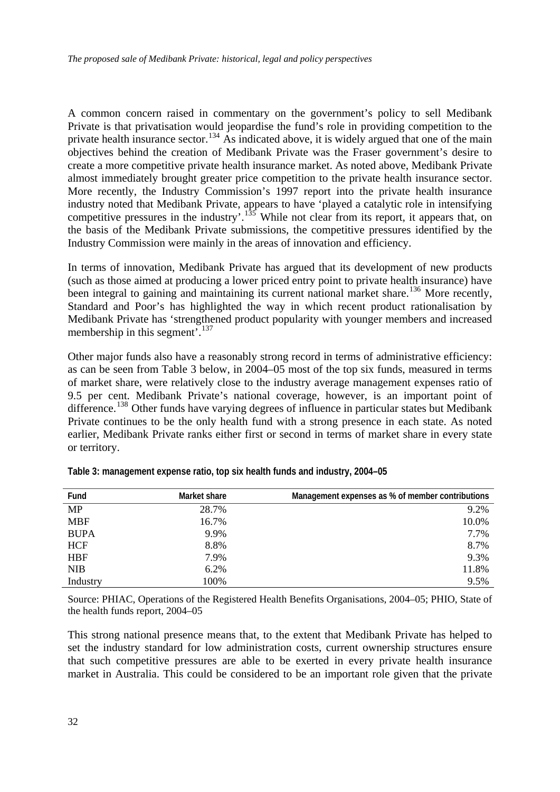A common concern raised in commentary on the government's policy to sell Medibank Private is that privatisation would jeopardise the fund's role in providing competition to the private health insurance sector.<sup>[134](#page-47-1)</sup> As indicated above, it is widely argued that one of the main objectives behind the creation of Medibank Private was the Fraser government's desire to create a more competitive private health insurance market. As noted above, Medibank Private almost immediately brought greater price competition to the private health insurance sector. More recently, the Industry Commission's 1997 report into the private health insurance industry noted that Medibank Private, appears to have 'played a catalytic role in intensifying competitive pressures in the industry'.<sup>[135](#page-47-1)</sup> While not clear from its report, it appears that, on the basis of the Medibank Private submissions, the competitive pressures identified by the Industry Commission were mainly in the areas of innovation and efficiency.

In terms of innovation, Medibank Private has argued that its development of new products (such as those aimed at producing a lower priced entry point to private health insurance) have been integral to gaining and maintaining its current national market share.<sup>[136](#page-47-1)</sup> More recently, Standard and Poor's has highlighted the way in which recent product rationalisation by Medibank Private has 'strengthened product popularity with younger members and increased membership in this segment'.<sup>[137](#page-47-1)</sup>

Other major funds also have a reasonably strong record in terms of administrative efficiency: as can be seen from Table 3 below, in 2004–05 most of the top six funds, measured in terms of market share, were relatively close to the industry average management expenses ratio of 9.5 per cent. Medibank Private's national coverage, however, is an important point of difference.<sup>[138](#page-47-1)</sup> Other funds have varying degrees of influence in particular states but Medibank Private continues to be the only health fund with a strong presence in each state. As noted earlier, Medibank Private ranks either first or second in terms of market share in every state or territory.

| Fund        | Market share | Management expenses as % of member contributions |
|-------------|--------------|--------------------------------------------------|
| <b>MP</b>   | 28.7%        | 9.2%                                             |
| <b>MBF</b>  | 16.7%        | 10.0%                                            |
| <b>BUPA</b> | 9.9%         | 7.7%                                             |
| <b>HCF</b>  | 8.8%         | 8.7%                                             |
| <b>HBF</b>  | 7.9%         | 9.3%                                             |
| <b>NIB</b>  | 6.2%         | 11.8%                                            |
| Industry    | 100%         | 9.5%                                             |

**Table 3: management expense ratio, top six health funds and industry, 2004–05** 

Source: PHIAC, Operations of the Registered Health Benefits Organisations, 2004–05; PHIO, State of the health funds report, 2004–05

This strong national presence means that, to the extent that Medibank Private has helped to set the industry standard for low administration costs, current ownership structures ensure that such competitive pressures are able to be exerted in every private health insurance market in Australia. This could be considered to be an important role given that the private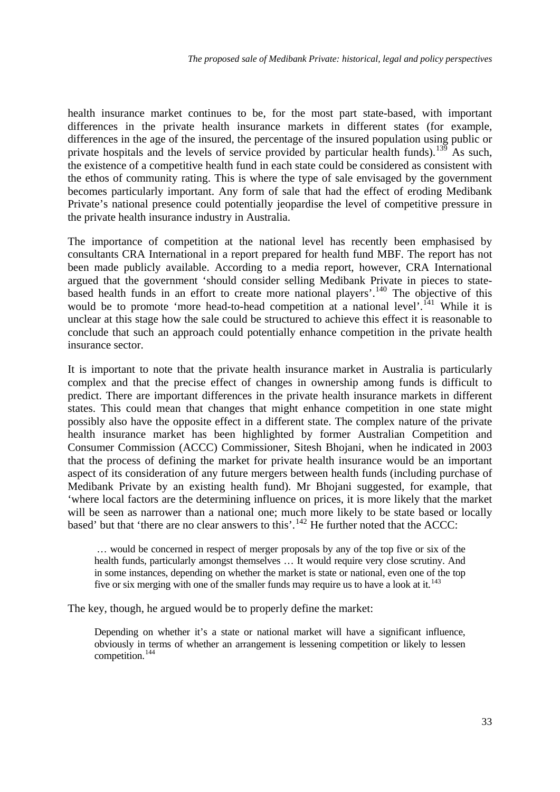health insurance market continues to be, for the most part state-based, with important differences in the private health insurance markets in different states (for example, differences in the age of the insured, the percentage of the insured population using public or private hospitals and the levels of service provided by particular health funds).<sup>[139](#page-47-1)</sup> As such, the existence of a competitive health fund in each state could be considered as consistent with the ethos of community rating. This is where the type of sale envisaged by the government becomes particularly important. Any form of sale that had the effect of eroding Medibank Private's national presence could potentially jeopardise the level of competitive pressure in the private health insurance industry in Australia.

The importance of competition at the national level has recently been emphasised by consultants CRA International in a report prepared for health fund MBF. The report has not been made publicly available. According to a media report, however, CRA International argued that the government 'should consider selling Medibank Private in pieces to state-based health funds in an effort to create more national players'.<sup>[140](#page-47-1)</sup> The objective of this would be to promote 'more head-to-head competition at a national level'.<sup> $141$ </sup> While it is unclear at this stage how the sale could be structured to achieve this effect it is reasonable to conclude that such an approach could potentially enhance competition in the private health insurance sector.

It is important to note that the private health insurance market in Australia is particularly complex and that the precise effect of changes in ownership among funds is difficult to predict. There are important differences in the private health insurance markets in different states. This could mean that changes that might enhance competition in one state might possibly also have the opposite effect in a different state. The complex nature of the private health insurance market has been highlighted by former Australian Competition and Consumer Commission (ACCC) Commissioner, Sitesh Bhojani, when he indicated in 2003 that the process of defining the market for private health insurance would be an important aspect of its consideration of any future mergers between health funds (including purchase of Medibank Private by an existing health fund). Mr Bhojani suggested, for example, that 'where local factors are the determining influence on prices, it is more likely that the market will be seen as narrower than a national one; much more likely to be state based or locally based' but that 'there are no clear answers to this'.<sup>[142](#page-47-1)</sup> He further noted that the ACCC:

 … would be concerned in respect of merger proposals by any of the top five or six of the health funds, particularly amongst themselves … It would require very close scrutiny. And in some instances, depending on whether the market is state or national, even one of the top five or six merging with one of the smaller funds may require us to have a look at it.<sup>[143](#page-47-1)</sup>

The key, though, he argued would be to properly define the market:

Depending on whether it's a state or national market will have a significant influence, obviously in terms of whether an arrangement is lessening competition or likely to lessen competition.[144](#page-47-1)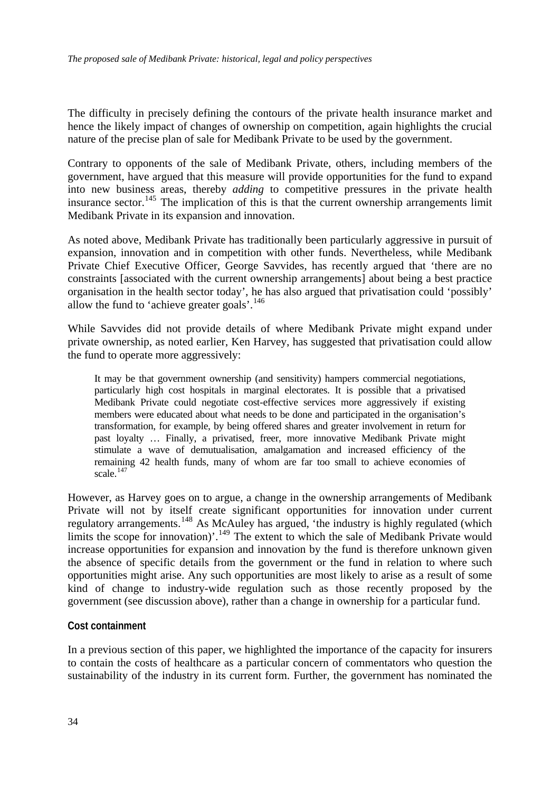<span id="page-35-0"></span>The difficulty in precisely defining the contours of the private health insurance market and hence the likely impact of changes of ownership on competition, again highlights the crucial nature of the precise plan of sale for Medibank Private to be used by the government.

Contrary to opponents of the sale of Medibank Private, others, including members of the government, have argued that this measure will provide opportunities for the fund to expand into new business areas, thereby *adding* to competitive pressures in the private health insurance sector.<sup>[145](#page-47-1)</sup> The implication of this is that the current ownership arrangements limit Medibank Private in its expansion and innovation.

As noted above, Medibank Private has traditionally been particularly aggressive in pursuit of expansion, innovation and in competition with other funds. Nevertheless, while Medibank Private Chief Executive Officer, George Savvides, has recently argued that 'there are no constraints [associated with the current ownership arrangements] about being a best practice organisation in the health sector today', he has also argued that privatisation could 'possibly' allow the fund to 'achieve greater goals'.[146](#page-47-1)

While Savvides did not provide details of where Medibank Private might expand under private ownership, as noted earlier, Ken Harvey, has suggested that privatisation could allow the fund to operate more aggressively:

It may be that government ownership (and sensitivity) hampers commercial negotiations, particularly high cost hospitals in marginal electorates. It is possible that a privatised Medibank Private could negotiate cost-effective services more aggressively if existing members were educated about what needs to be done and participated in the organisation's transformation, for example, by being offered shares and greater involvement in return for past loyalty … Finally, a privatised, freer, more innovative Medibank Private might stimulate a wave of demutualisation, amalgamation and increased efficiency of the remaining 42 health funds, many of whom are far too small to achieve economies of scale.<sup>[147](#page-47-1)</sup>

However, as Harvey goes on to argue, a change in the ownership arrangements of Medibank Private will not by itself create significant opportunities for innovation under current regulatory arrangements.<sup>[148](#page-47-1)</sup> As McAuley has argued, 'the industry is highly regulated (which limits the scope for innovation)'.<sup>[149](#page-47-1)</sup> The extent to which the sale of Medibank Private would increase opportunities for expansion and innovation by the fund is therefore unknown given the absence of specific details from the government or the fund in relation to where such opportunities might arise. Any such opportunities are most likely to arise as a result of some kind of change to industry-wide regulation such as those recently proposed by the government (see discussion above), rather than a change in ownership for a particular fund.

### **Cost containment**

In a previous section of this paper, we highlighted the importance of the capacity for insurers to contain the costs of healthcare as a particular concern of commentators who question the sustainability of the industry in its current form. Further, the government has nominated the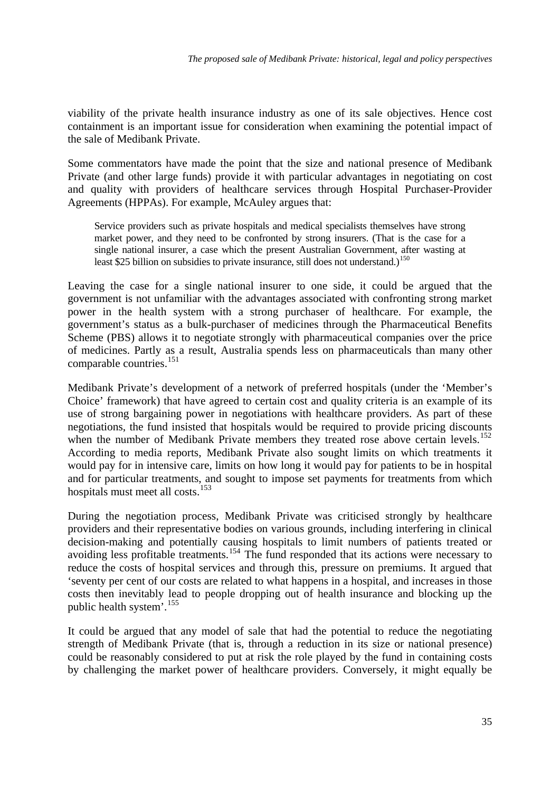viability of the private health insurance industry as one of its sale objectives. Hence cost containment is an important issue for consideration when examining the potential impact of the sale of Medibank Private.

Some commentators have made the point that the size and national presence of Medibank Private (and other large funds) provide it with particular advantages in negotiating on cost and quality with providers of healthcare services through Hospital Purchaser-Provider Agreements (HPPAs). For example, McAuley argues that:

Service providers such as private hospitals and medical specialists themselves have strong market power, and they need to be confronted by strong insurers. (That is the case for a single national insurer, a case which the present Australian Government, after wasting at least \$25 billion on subsidies to private insurance, still does not understand.)<sup>[150](#page-47-1)</sup>

Leaving the case for a single national insurer to one side, it could be argued that the government is not unfamiliar with the advantages associated with confronting strong market power in the health system with a strong purchaser of healthcare. For example, the government's status as a bulk-purchaser of medicines through the Pharmaceutical Benefits Scheme (PBS) allows it to negotiate strongly with pharmaceutical companies over the price of medicines. Partly as a result, Australia spends less on pharmaceuticals than many other comparable countries.<sup>[151](#page-47-1)</sup>

Medibank Private's development of a network of preferred hospitals (under the 'Member's Choice' framework) that have agreed to certain cost and quality criteria is an example of its use of strong bargaining power in negotiations with healthcare providers. As part of these negotiations, the fund insisted that hospitals would be required to provide pricing discounts when the number of Medibank Private members they treated rose above certain levels.<sup>[152](#page-47-1)</sup> According to media reports, Medibank Private also sought limits on which treatments it would pay for in intensive care, limits on how long it would pay for patients to be in hospital and for particular treatments, and sought to impose set payments for treatments from which hospitals must meet all costs.<sup>[153](#page-47-1)</sup>

During the negotiation process, Medibank Private was criticised strongly by healthcare providers and their representative bodies on various grounds, including interfering in clinical decision-making and potentially causing hospitals to limit numbers of patients treated or avoiding less profitable treatments.<sup>[154](#page-47-1)</sup> The fund responded that its actions were necessary to reduce the costs of hospital services and through this, pressure on premiums. It argued that 'seventy per cent of our costs are related to what happens in a hospital, and increases in those costs then inevitably lead to people dropping out of health insurance and blocking up the public health system'.[155](#page-47-1)

It could be argued that any model of sale that had the potential to reduce the negotiating strength of Medibank Private (that is, through a reduction in its size or national presence) could be reasonably considered to put at risk the role played by the fund in containing costs by challenging the market power of healthcare providers. Conversely, it might equally be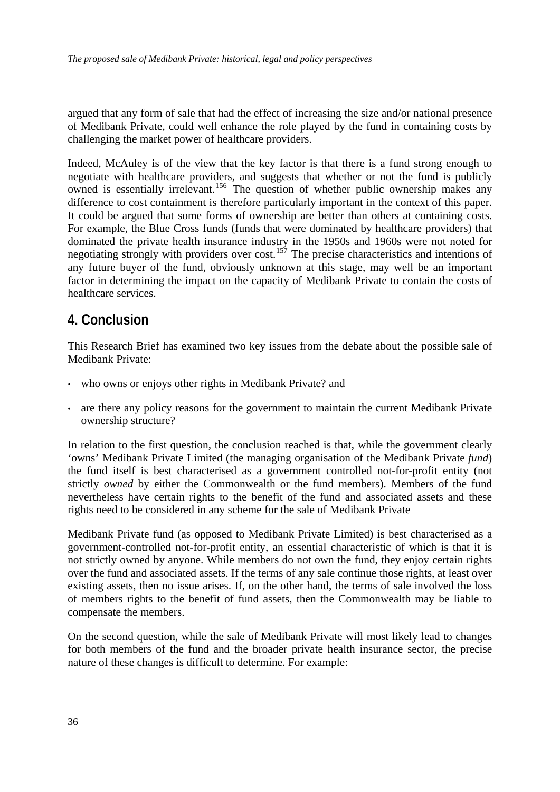<span id="page-37-0"></span>argued that any form of sale that had the effect of increasing the size and/or national presence of Medibank Private, could well enhance the role played by the fund in containing costs by challenging the market power of healthcare providers.

Indeed, McAuley is of the view that the key factor is that there is a fund strong enough to negotiate with healthcare providers, and suggests that whether or not the fund is publicly owned is essentially irrelevant.<sup>[156](#page-47-1)</sup> The question of whether public ownership makes any difference to cost containment is therefore particularly important in the context of this paper. It could be argued that some forms of ownership are better than others at containing costs. For example, the Blue Cross funds (funds that were dominated by healthcare providers) that dominated the private health insurance industry in the 1950s and 1960s were not noted for negotiating strongly with providers over  $cost$ .<sup>[157](#page-47-1)</sup> The precise characteristics and intentions of any future buyer of the fund, obviously unknown at this stage, may well be an important factor in determining the impact on the capacity of Medibank Private to contain the costs of healthcare services.

## **4. Conclusion**

This Research Brief has examined two key issues from the debate about the possible sale of Medibank Private:

- who owns or enjoys other rights in Medibank Private? and
- are there any policy reasons for the government to maintain the current Medibank Private ownership structure?

In relation to the first question, the conclusion reached is that, while the government clearly 'owns' Medibank Private Limited (the managing organisation of the Medibank Private *fund*) the fund itself is best characterised as a government controlled not-for-profit entity (not strictly *owned* by either the Commonwealth or the fund members). Members of the fund nevertheless have certain rights to the benefit of the fund and associated assets and these rights need to be considered in any scheme for the sale of Medibank Private

Medibank Private fund (as opposed to Medibank Private Limited) is best characterised as a government-controlled not-for-profit entity, an essential characteristic of which is that it is not strictly owned by anyone. While members do not own the fund, they enjoy certain rights over the fund and associated assets. If the terms of any sale continue those rights, at least over existing assets, then no issue arises. If, on the other hand, the terms of sale involved the loss of members rights to the benefit of fund assets, then the Commonwealth may be liable to compensate the members.

On the second question, while the sale of Medibank Private will most likely lead to changes for both members of the fund and the broader private health insurance sector, the precise nature of these changes is difficult to determine. For example: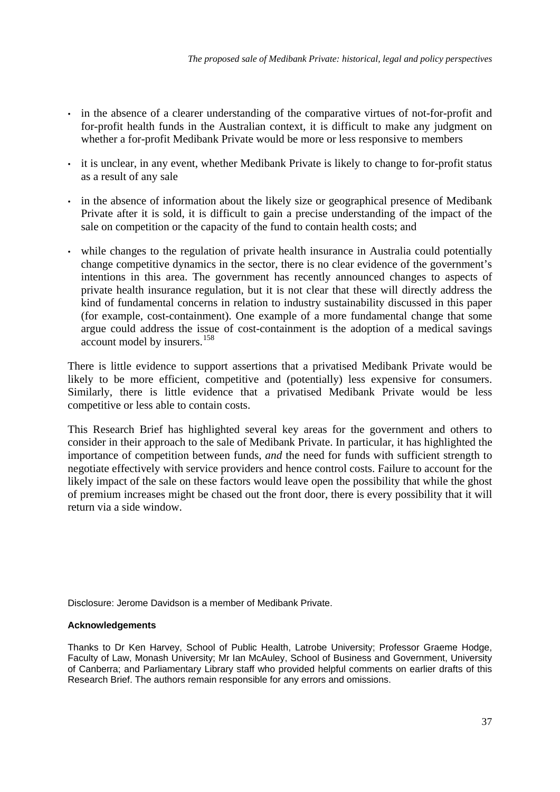- in the absence of a clearer understanding of the comparative virtues of not-for-profit and for-profit health funds in the Australian context, it is difficult to make any judgment on whether a for-profit Medibank Private would be more or less responsive to members
- it is unclear, in any event, whether Medibank Private is likely to change to for-profit status as a result of any sale
- in the absence of information about the likely size or geographical presence of Medibank Private after it is sold, it is difficult to gain a precise understanding of the impact of the sale on competition or the capacity of the fund to contain health costs; and
- while changes to the regulation of private health insurance in Australia could potentially change competitive dynamics in the sector, there is no clear evidence of the government's intentions in this area. The government has recently announced changes to aspects of private health insurance regulation, but it is not clear that these will directly address the kind of fundamental concerns in relation to industry sustainability discussed in this paper (for example, cost-containment). One example of a more fundamental change that some argue could address the issue of cost-containment is the adoption of a medical savings account model by insurers.<sup>[158](#page-47-1)</sup>

There is little evidence to support assertions that a privatised Medibank Private would be likely to be more efficient, competitive and (potentially) less expensive for consumers. Similarly, there is little evidence that a privatised Medibank Private would be less competitive or less able to contain costs.

This Research Brief has highlighted several key areas for the government and others to consider in their approach to the sale of Medibank Private. In particular, it has highlighted the importance of competition between funds, *and* the need for funds with sufficient strength to negotiate effectively with service providers and hence control costs. Failure to account for the likely impact of the sale on these factors would leave open the possibility that while the ghost of premium increases might be chased out the front door, there is every possibility that it will return via a side window.

Disclosure: Jerome Davidson is a member of Medibank Private.

#### **Acknowledgements**

Thanks to Dr Ken Harvey, School of Public Health, Latrobe University; Professor Graeme Hodge, Faculty of Law, Monash University; Mr Ian McAuley, School of Business and Government, University of Canberra; and Parliamentary Library staff who provided helpful comments on earlier drafts of this Research Brief. The authors remain responsible for any errors and omissions.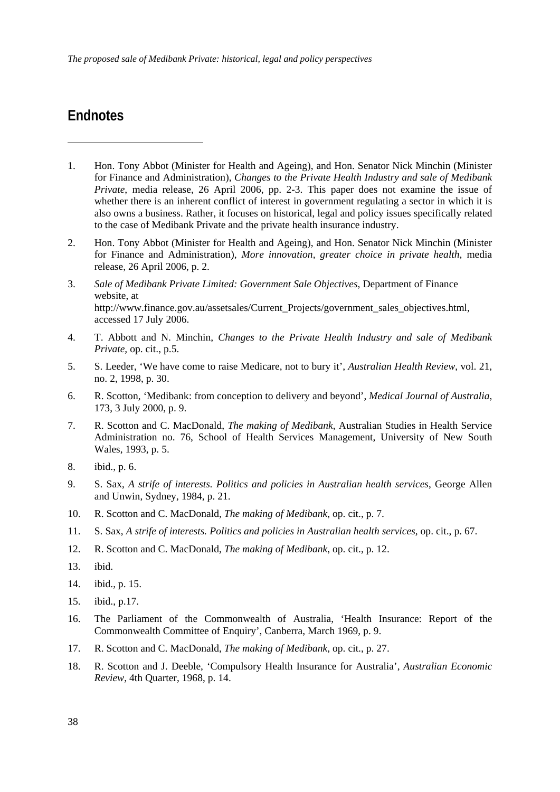## <span id="page-39-0"></span>**Endnotes**

<u>.</u>

- 1. Hon. Tony Abbot (Minister for Health and Ageing), and Hon. Senator Nick Minchin (Minister for Finance and Administration), *Changes to the Private Health Industry and sale of Medibank Private*, media release, 26 April 2006, pp. 2-3. This paper does not examine the issue of whether there is an inherent conflict of interest in government regulating a sector in which it is also owns a business. Rather, it focuses on historical, legal and policy issues specifically related to the case of Medibank Private and the private health insurance industry.
- 2. Hon. Tony Abbot (Minister for Health and Ageing), and Hon. Senator Nick Minchin (Minister for Finance and Administration), *More innovation, greater choice in private health*, media release, 26 April 2006, p. 2.
- 3. *Sale of Medibank Private Limited: Government Sale Objectives*, Department of Finance website, at http://www.finance.gov.au/assetsales/Current\_Projects/government\_sales\_objectives.html, accessed 17 July 2006.
- 4. T. Abbott and N. Minchin, *Changes to the Private Health Industry and sale of Medibank Private,* op. cit., p.5.
- 5. S. Leeder, 'We have come to raise Medicare, not to bury it', *Australian Health Review*, vol. 21, no. 2, 1998, p. 30.
- 6. R. Scotton, 'Medibank: from conception to delivery and beyond', *Medical Journal of Australia*, 173, 3 July 2000, p. 9.
- 7. R. Scotton and C. MacDonald, *The making of Medibank*, Australian Studies in Health Service Administration no. 76, School of Health Services Management, University of New South Wales, 1993, p. 5.
- 8. ibid., p. 6.
- 9. S. Sax, *A strife of interests. Politics and policies in Australian health services*, George Allen and Unwin, Sydney, 1984, p. 21.
- 10. R. Scotton and C. MacDonald, *The making of Medibank*, op. cit., p. 7.
- 11. S. Sax, *A strife of interests. Politics and policies in Australian health services*, op. cit., p. 67.
- 12. R. Scotton and C. MacDonald, *The making of Medibank*, op. cit., p. 12.
- 13. ibid.
- 14. ibid., p. 15.
- 15. ibid., p.17.
- 16. The Parliament of the Commonwealth of Australia, 'Health Insurance: Report of the Commonwealth Committee of Enquiry', Canberra, March 1969, p. 9.
- 17. R. Scotton and C. MacDonald, *The making of Medibank*, op. cit., p. 27.
- 18. R. Scotton and J. Deeble, 'Compulsory Health Insurance for Australia', *Australian Economic Review*, 4th Quarter, 1968, p. 14.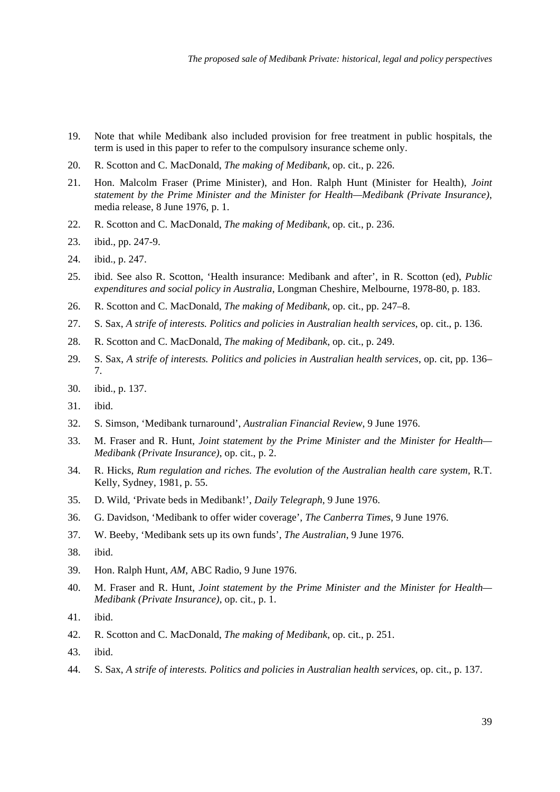- 19. Note that while Medibank also included provision for free treatment in public hospitals, the term is used in this paper to refer to the compulsory insurance scheme only.
- 20. R. Scotton and C. MacDonald, *The making of Medibank*, op. cit., p. 226.
- 21. Hon. Malcolm Fraser (Prime Minister), and Hon. Ralph Hunt (Minister for Health), *Joint statement by the Prime Minister and the Minister for Health—Medibank (Private Insurance)*, media release, 8 June 1976, p. 1.
- 22. R. Scotton and C. MacDonald, *The making of Medibank*, op. cit., p. 236.
- 23. ibid., pp. 247-9.
- 24. ibid., p. 247.
- 25. ibid. See also R. Scotton, 'Health insurance: Medibank and after', in R. Scotton (ed), *Public expenditures and social policy in Australia*, Longman Cheshire, Melbourne, 1978-80, p. 183.
- 26. R. Scotton and C. MacDonald, *The making of Medibank*, op. cit., pp. 247–8.
- 27. S. Sax, *A strife of interests. Politics and policies in Australian health services*, op. cit., p. 136.
- 28. R. Scotton and C. MacDonald, *The making of Medibank*, op. cit., p. 249.
- 29. S. Sax, *A strife of interests. Politics and policies in Australian health services*, op. cit, pp. 136– 7.
- 30. ibid., p. 137.
- 31. ibid.
- 32. S. Simson, 'Medibank turnaround', *Australian Financial Review*, 9 June 1976.
- 33. M. Fraser and R. Hunt, *Joint statement by the Prime Minister and the Minister for Health— Medibank (Private Insurance)*, op. cit., p. 2.
- 34. R. Hicks, *Rum regulation and riches. The evolution of the Australian health care system*, R.T. Kelly, Sydney, 1981, p. 55.
- 35. D. Wild, 'Private beds in Medibank!', *Daily Telegraph*, 9 June 1976.
- 36. G. Davidson, 'Medibank to offer wider coverage', *The Canberra Times*, 9 June 1976.
- 37. W. Beeby, 'Medibank sets up its own funds', *The Australian*, 9 June 1976.
- 38. ibid.
- 39. Hon. Ralph Hunt, *AM*, ABC Radio, 9 June 1976.
- 40. M. Fraser and R. Hunt, *Joint statement by the Prime Minister and the Minister for Health— Medibank (Private Insurance)*, op. cit., p. 1.
- 41. ibid.
- 42. R. Scotton and C. MacDonald, *The making of Medibank*, op. cit., p. 251.
- 43. ibid.
- 44. S. Sax, *A strife of interests. Politics and policies in Australian health services*, op. cit., p. 137.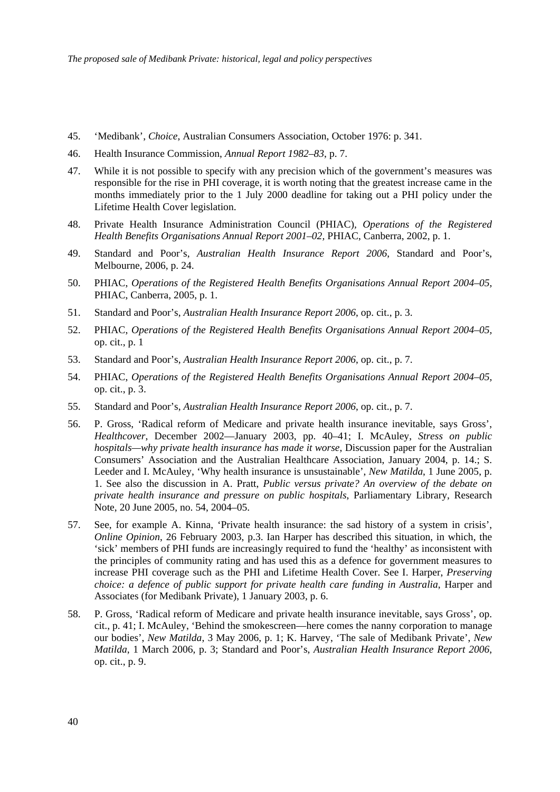- 45. 'Medibank', *Choice*, Australian Consumers Association, October 1976: p. 341.
- 46. Health Insurance Commission, *Annual Report 1982–83*, p. 7.
- 47. While it is not possible to specify with any precision which of the government's measures was responsible for the rise in PHI coverage, it is worth noting that the greatest increase came in the months immediately prior to the 1 July 2000 deadline for taking out a PHI policy under the Lifetime Health Cover legislation.
- 48. Private Health Insurance Administration Council (PHIAC)*, Operations of the Registered Health Benefits Organisations Annual Report 2001–02,* PHIAC, Canberra, 2002, p. 1.
- 49. Standard and Poor's, *Australian Health Insurance Report 2006*, Standard and Poor's, Melbourne, 2006, p. 24.
- 50. PHIAC, *Operations of the Registered Health Benefits Organisations Annual Report 2004–05,* PHIAC, Canberra, 2005, p. 1.
- 51. Standard and Poor's, *Australian Health Insurance Report 2006*, op. cit., p. 3.
- 52. PHIAC, *Operations of the Registered Health Benefits Organisations Annual Report 2004–05,* op. cit., p. 1
- 53. Standard and Poor's, *Australian Health Insurance Report 2006*, op. cit., p. 7.
- 54. PHIAC, *Operations of the Registered Health Benefits Organisations Annual Report 2004–05,* op. cit., p. 3.
- 55. Standard and Poor's, *Australian Health Insurance Report 2006*, op. cit., p. 7.
- 56. P. Gross, 'Radical reform of Medicare and private health insurance inevitable, says Gross', *Healthcover*, December 2002—January 2003, pp. 40–41; I. McAuley, *Stress on public hospitals—why private health insurance has made it worse*, Discussion paper for the Australian Consumers' Association and the Australian Healthcare Association, January 2004, p. 14.; S. Leeder and I. McAuley, 'Why health insurance is unsustainable', *New Matilda*, 1 June 2005, p. 1. See also the discussion in A. Pratt, *Public versus private? An overview of the debate on private health insurance and pressure on public hospitals*, Parliamentary Library, Research Note, 20 June 2005, no. 54, 2004–05.
- 57. See, for example A. Kinna, 'Private health insurance: the sad history of a system in crisis', *Online Opinion*, 26 February 2003, p.3. Ian Harper has described this situation, in which, the 'sick' members of PHI funds are increasingly required to fund the 'healthy' as inconsistent with the principles of community rating and has used this as a defence for government measures to increase PHI coverage such as the PHI and Lifetime Health Cover. See I. Harper, *Preserving choice: a defence of public support for private health care funding in Australia*, Harper and Associates (for Medibank Private), 1 January 2003, p. 6.
- 58. P. Gross, 'Radical reform of Medicare and private health insurance inevitable, says Gross', op. cit., p. 41; I. McAuley, 'Behind the smokescreen—here comes the nanny corporation to manage our bodies', *New Matilda*, 3 May 2006, p. 1; K. Harvey, 'The sale of Medibank Private', *New Matilda*, 1 March 2006, p. 3; Standard and Poor's, *Australian Health Insurance Report 2006*, op. cit., p. 9.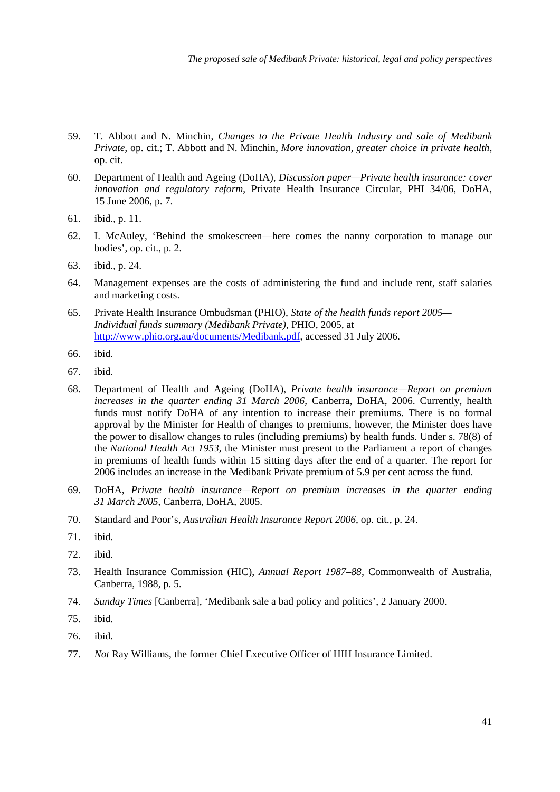- 59. T. Abbott and N. Minchin, *Changes to the Private Health Industry and sale of Medibank Private,* op. cit.; T. Abbott and N. Minchin, *More innovation, greater choice in private health*, op. cit.
- 60. Department of Health and Ageing (DoHA), *Discussion paper—Private health insurance: cover innovation and regulatory reform*, Private Health Insurance Circular, PHI 34/06, DoHA, 15 June 2006, p. 7.
- 61. ibid., p. 11.
- 62. I. McAuley, 'Behind the smokescreen—here comes the nanny corporation to manage our bodies', op. cit., p. 2.
- 63. ibid., p. 24.
- 64. Management expenses are the costs of administering the fund and include rent, staff salaries and marketing costs.
- 65. Private Health Insurance Ombudsman (PHIO), *State of the health funds report 2005— Individual funds summary (Medibank Private)*, PHIO, 2005, at <http://www.phio.org.au/documents/Medibank.pdf>, accessed 31 July 2006.
- 66. ibid.
- 67. ibid.
- 68. Department of Health and Ageing (DoHA), *Private health insurance—Report on premium increases in the quarter ending 31 March 2006*, Canberra, DoHA, 2006. Currently, health funds must notify DoHA of any intention to increase their premiums. There is no formal approval by the Minister for Health of changes to premiums, however, the Minister does have the power to disallow changes to rules (including premiums) by health funds. Under s. 78(8) of the *National Health Act 1953*, the Minister must present to the Parliament a report of changes in premiums of health funds within 15 sitting days after the end of a quarter. The report for 2006 includes an increase in the Medibank Private premium of 5.9 per cent across the fund.
- 69. DoHA, *Private health insurance—Report on premium increases in the quarter ending 31 March 2005*, Canberra, DoHA, 2005.
- 70. Standard and Poor's, *Australian Health Insurance Report 2006*, op. cit., p. 24.
- 71. ibid.
- 72. ibid.
- 73. Health Insurance Commission (HIC), *Annual Report 1987–88*, Commonwealth of Australia, Canberra, 1988, p. 5.
- 74. *Sunday Times* [Canberra], 'Medibank sale a bad policy and politics', 2 January 2000.
- 75. ibid.
- 76. ibid.
- 77. *Not* Ray Williams, the former Chief Executive Officer of HIH Insurance Limited.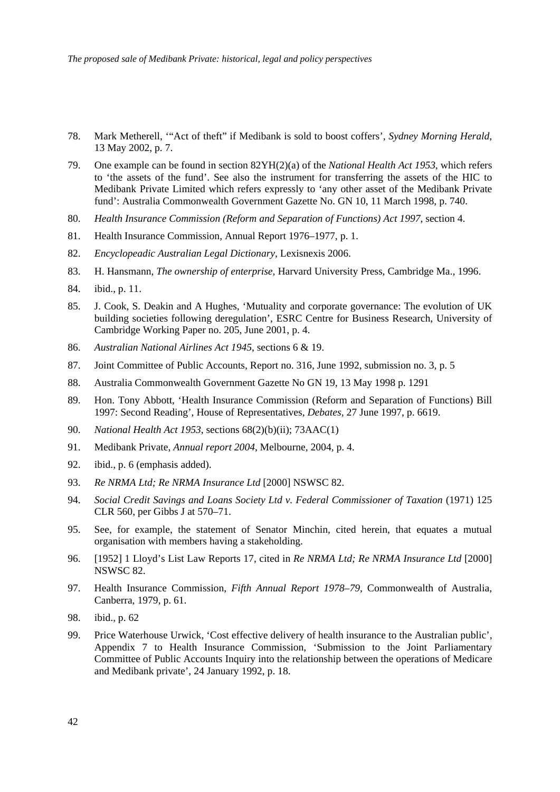- 78. Mark Metherell, '"Act of theft" if Medibank is sold to boost coffers', *Sydney Morning Herald*, 13 May 2002, p. 7.
- 79. One example can be found in section 82YH(2)(a) of the *National Health Act 1953*, which refers to 'the assets of the fund'. See also the instrument for transferring the assets of the HIC to Medibank Private Limited which refers expressly to 'any other asset of the Medibank Private fund': Australia Commonwealth Government Gazette No. GN 10, 11 March 1998, p. 740.
- 80. *Health Insurance Commission (Reform and Separation of Functions) Act 1997*, section 4.
- 81. Health Insurance Commission, Annual Report 1976–1977, p. 1.
- 82. *Encyclopeadic Australian Legal Dictionary*, Lexisnexis 2006.
- 83. H. Hansmann, *The ownership of enterprise,* Harvard University Press, Cambridge Ma., 1996.
- 84. ibid., p. 11.
- 85. J. Cook, S. Deakin and A Hughes, 'Mutuality and corporate governance: The evolution of UK building societies following deregulation', ESRC Centre for Business Research, University of Cambridge Working Paper no. 205, June 2001, p. 4.
- 86. *Australian National Airlines Act 1945*, sections 6 & 19.
- 87. Joint Committee of Public Accounts, Report no. 316, June 1992, submission no. 3, p. 5
- 88. Australia Commonwealth Government Gazette No GN 19, 13 May 1998 p. 1291
- 89. Hon. Tony Abbott, 'Health Insurance Commission (Reform and Separation of Functions) Bill 1997: Second Reading', House of Representatives, *Debates*, 27 June 1997, p. 6619.
- 90. *National Health Act 1953*, sections 68(2)(b)(ii); 73AAC(1)
- 91. Medibank Private, *Annual report 2004*, Melbourne, 2004, p. 4.
- 92. ibid., p. 6 (emphasis added).
- 93. *Re NRMA Ltd; Re NRMA Insurance Ltd* [2000] NSWSC 82.
- 94. *Social Credit Savings and Loans Society Ltd v. Federal Commissioner of Taxation* (1971) 125 CLR 560, per Gibbs J at 570–71.
- 95. See, for example, the statement of Senator Minchin, cited herein, that equates a mutual organisation with members having a stakeholding.
- 96. [1952] 1 Lloyd's List Law Reports 17, cited in *Re NRMA Ltd; Re NRMA Insurance Ltd* [2000] NSWSC 82.
- 97. Health Insurance Commission, *Fifth Annual Report 1978–79*, Commonwealth of Australia, Canberra, 1979, p. 61.
- 98. ibid., p. 62
- 99. Price Waterhouse Urwick, 'Cost effective delivery of health insurance to the Australian public', Appendix 7 to Health Insurance Commission, 'Submission to the Joint Parliamentary Committee of Public Accounts Inquiry into the relationship between the operations of Medicare and Medibank private', 24 January 1992, p. 18.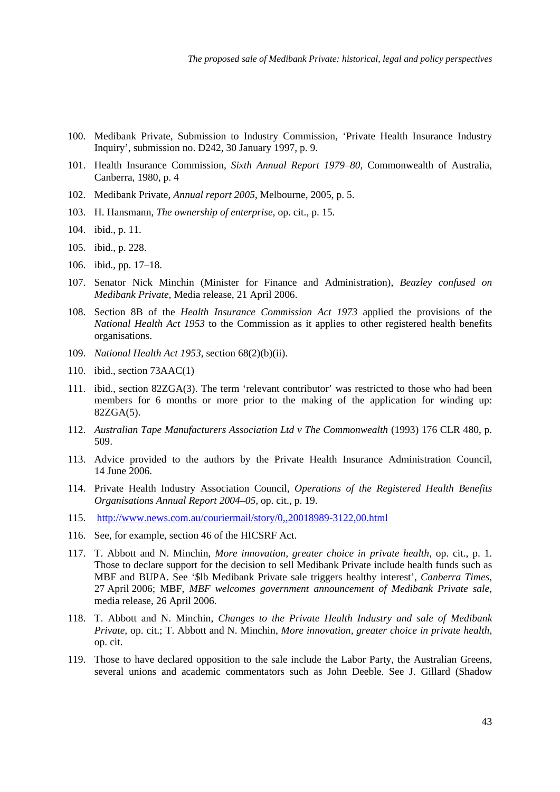- 100. Medibank Private, Submission to Industry Commission, 'Private Health Insurance Industry Inquiry', submission no. D242, 30 January 1997, p. 9.
- 101. Health Insurance Commission, *Sixth Annual Report 1979–80,* Commonwealth of Australia, Canberra, 1980, p. 4
- 102. Medibank Private, *Annual report 2005*, Melbourne, 2005, p. 5.
- 103. H. Hansmann, *The ownership of enterprise*, op. cit., p. 15.
- 104. ibid., p. 11.
- 105. ibid., p. 228.
- 106. ibid., pp. 17–18.
- 107. Senator Nick Minchin (Minister for Finance and Administration), *Beazley confused on Medibank Private*, Media release, 21 April 2006.
- 108. Section 8B of the *Health Insurance Commission Act 1973* applied the provisions of the *National Health Act 1953* to the Commission as it applies to other registered health benefits organisations.
- 109. *National Health Act 1953*, section 68(2)(b)(ii).
- 110. ibid., section 73AAC(1)
- 111. ibid., section 82ZGA(3). The term 'relevant contributor' was restricted to those who had been members for 6 months or more prior to the making of the application for winding up: 82ZGA(5).
- 112. *Australian Tape Manufacturers Association Ltd v The Commonwealth* (1993) 176 CLR 480, p. 509.
- 113. Advice provided to the authors by the Private Health Insurance Administration Council, 14 June 2006.
- 114. Private Health Industry Association Council, *Operations of the Registered Health Benefits Organisations Annual Report 2004–05,* op. cit., p. 19.
- 115. <http://www.news.com.au/couriermail/story/0,,20018989-3122,00.html>
- 116. See, for example, section 46 of the HICSRF Act.
- 117. T. Abbott and N. Minchin, *More innovation, greater choice in private health*, op. cit., p. 1. Those to declare support for the decision to sell Medibank Private include health funds such as MBF and BUPA. See '\$lb Medibank Private sale triggers healthy interest', *Canberra Times*, 27 April 2006; MBF, *MBF welcomes government announcement of Medibank Private sale*, media release, 26 April 2006.
- 118. T. Abbott and N. Minchin, *Changes to the Private Health Industry and sale of Medibank Private,* op. cit.; T. Abbott and N. Minchin, *More innovation, greater choice in private health*, op. cit.
- 119. Those to have declared opposition to the sale include the Labor Party, the Australian Greens, several unions and academic commentators such as John Deeble. See J. Gillard (Shadow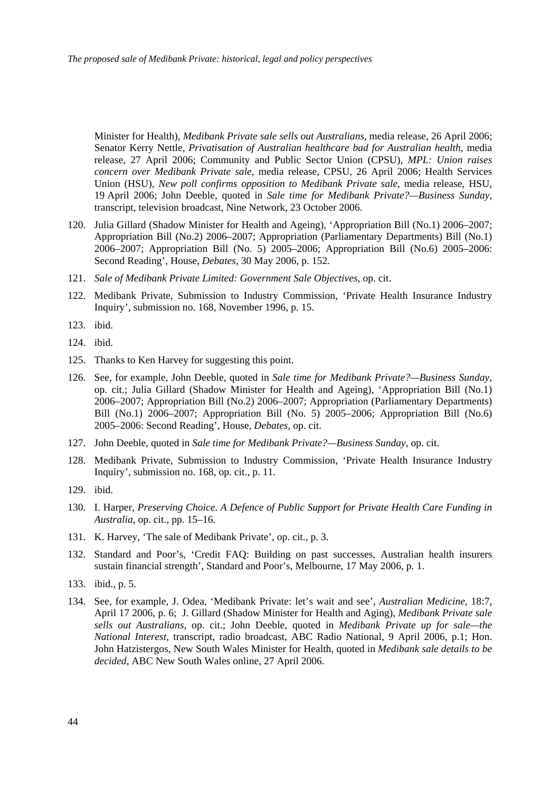Minister for Health), *Medibank Private sale sells out Australians*, media release, 26 April 2006; Senator Kerry Nettle, *Privatisation of Australian healthcare bad for Australian health*, media release, 27 April 2006; Community and Public Sector Union (CPSU), *MPL: Union raises concern over Medibank Private sale*, media release, CPSU, 26 April 2006; Health Services Union (HSU), *New poll confirms opposition to Medibank Private sale*, media release, HSU, 19 April 2006; John Deeble, quoted in *Sale time for Medibank Private?—Business Sunday*, transcript, television broadcast, Nine Network, 23 October 2006.

- 120. Julia Gillard (Shadow Minister for Health and Ageing), 'Appropriation Bill (No.1) 2006–2007; Appropriation Bill (No.2) 2006–2007; Appropriation (Parliamentary Departments) Bill (No.1) 2006–2007; Appropriation Bill (No. 5) 2005–2006; Appropriation Bill (No.6) 2005–2006: Second Reading', House, *Debates*, 30 May 2006, p. 152.
- 121. *Sale of Medibank Private Limited: Government Sale Objectives*, op. cit.
- 122. Medibank Private, Submission to Industry Commission, 'Private Health Insurance Industry Inquiry', submission no. 168, November 1996, p. 15.
- 123. ibid.
- 124. ibid.
- 125. Thanks to Ken Harvey for suggesting this point.
- 126. See, for example, John Deeble, quoted in *Sale time for Medibank Private?—Business Sunday*, op. cit.; Julia Gillard (Shadow Minister for Health and Ageing), 'Appropriation Bill (No.1) 2006–2007; Appropriation Bill (No.2) 2006–2007; Appropriation (Parliamentary Departments) Bill (No.1) 2006–2007; Appropriation Bill (No. 5) 2005–2006; Appropriation Bill (No.6) 2005–2006: Second Reading', House, *Debates*, op. cit.
- 127. John Deeble, quoted in *Sale time for Medibank Private?—Business Sunday*, op. cit.
- 128. Medibank Private, Submission to Industry Commission, 'Private Health Insurance Industry Inquiry', submission no. 168, op. cit., p. 11.
- 129. ibid.
- 130. I. Harper, *Preserving Choice. A Defence of Public Support for Private Health Care Funding in Australia*, op. cit., pp. 15–16.
- 131. K. Harvey, 'The sale of Medibank Private', op. cit., p. 3.
- 132. Standard and Poor's, 'Credit FAQ: Building on past successes, Australian health insurers sustain financial strength', Standard and Poor's, Melbourne, 17 May 2006, p. 1.
- 133. ibid., p. 5.
- 134. See, for example, J. Odea, 'Medibank Private: let's wait and see', *Australian Medicine*, 18:7, April 17 2006, p. 6; J. Gillard (Shadow Minister for Health and Aging), *Medibank Private sale sells out Australians*, op. cit.; John Deeble, quoted in *Medibank Private up for sale—the National Interest*, transcript, radio broadcast, ABC Radio National, 9 April 2006, p.1; Hon. John Hatzistergos, New South Wales Minister for Health, quoted in *Medibank sale details to be decided*, ABC New South Wales online, 27 April 2006.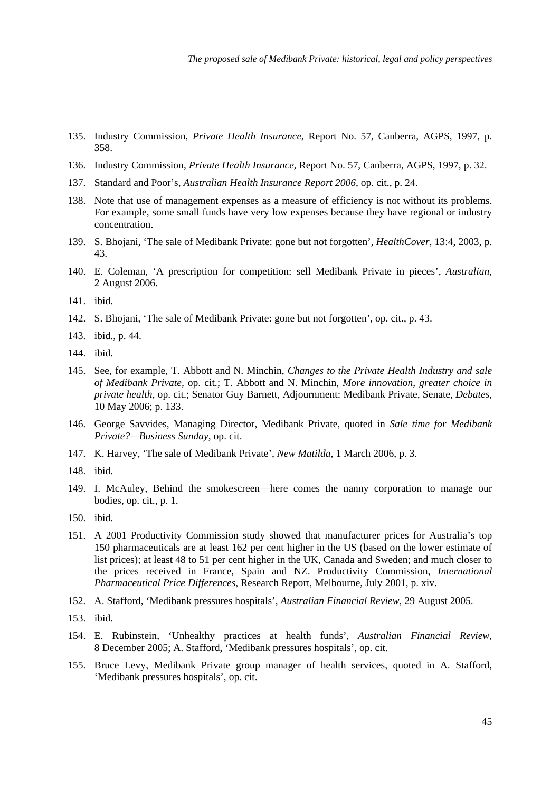- 135. Industry Commission, *Private Health Insurance*, Report No. 57, Canberra, AGPS, 1997, p. 358.
- 136. Industry Commission, *Private Health Insurance*, Report No. 57, Canberra, AGPS, 1997, p. 32.
- 137. Standard and Poor's, *Australian Health Insurance Report 2006*, op. cit., p. 24.
- 138. Note that use of management expenses as a measure of efficiency is not without its problems. For example, some small funds have very low expenses because they have regional or industry concentration.
- 139. S. Bhojani, 'The sale of Medibank Private: gone but not forgotten', *HealthCover*, 13:4, 2003, p. 43.
- 140. E. Coleman, 'A prescription for competition: sell Medibank Private in pieces', *Australian*, 2 August 2006.
- 141. ibid.
- 142. S. Bhojani, 'The sale of Medibank Private: gone but not forgotten', op. cit., p. 43.
- 143. ibid., p. 44.
- 144. ibid.
- 145. See, for example, T. Abbott and N. Minchin, *Changes to the Private Health Industry and sale of Medibank Private,* op. cit.; T. Abbott and N. Minchin, *More innovation, greater choice in private health*, op. cit.; Senator Guy Barnett, Adjournment: Medibank Private, Senate, *Debates*, 10 May 2006; p. 133.
- 146. George Savvides, Managing Director, Medibank Private, quoted in *Sale time for Medibank Private?—Business Sunday*, op. cit.
- 147. K. Harvey, 'The sale of Medibank Private', *New Matilda*, 1 March 2006, p. 3.
- 148. ibid.
- 149. I. McAuley, Behind the smokescreen—here comes the nanny corporation to manage our bodies, op. cit., p. 1.
- 150. ibid.
- 151. A 2001 Productivity Commission study showed that manufacturer prices for Australia's top 150 pharmaceuticals are at least 162 per cent higher in the US (based on the lower estimate of list prices); at least 48 to 51 per cent higher in the UK, Canada and Sweden; and much closer to the prices received in France, Spain and NZ. Productivity Commission, *International Pharmaceutical Price Differences*, Research Report, Melbourne, July 2001, p. xiv.
- 152. A. Stafford, 'Medibank pressures hospitals', *Australian Financial Review*, 29 August 2005.
- 153. ibid.
- 154. E. Rubinstein, 'Unhealthy practices at health funds', *Australian Financial Review*, 8 December 2005; A. Stafford, 'Medibank pressures hospitals', op. cit.
- 155. Bruce Levy, Medibank Private group manager of health services, quoted in A. Stafford, 'Medibank pressures hospitals', op. cit.